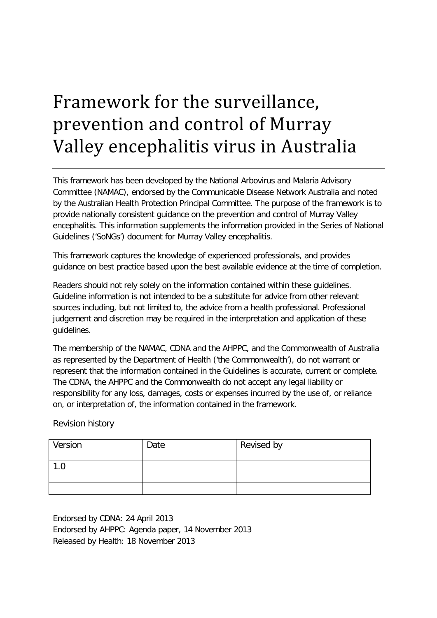# <span id="page-0-0"></span>Framework for the surveillance, prevention and control of Murray Valley encephalitis virus in Australia

This framework has been developed by the National Arbovirus and Malaria Advisory Committee (NAMAC), endorsed by the Communicable Disease Network Australia and noted by the Australian Health Protection Principal Committee. The purpose of the framework is to provide nationally consistent guidance on the prevention and control of Murray Valley encephalitis. This information supplements the information provided in the Series of National Guidelines ('SoNGs') document for Murray Valley encephalitis.

This framework captures the knowledge of experienced professionals, and provides guidance on best practice based upon the best available evidence at the time of completion.

Readers should not rely solely on the information contained within these guidelines. Guideline information is not intended to be a substitute for advice from other relevant sources including, but not limited to, the advice from a health professional. Professional judgement and discretion may be required in the interpretation and application of these guidelines.

The membership of the NAMAC, CDNA and the AHPPC, and the Commonwealth of Australia as represented by the Department of Health ('the Commonwealth'), do not warrant or represent that the information contained in the Guidelines is accurate, current or complete. The CDNA, the AHPPC and the Commonwealth do not accept any legal liability or responsibility for any loss, damages, costs or expenses incurred by the use of, or reliance on, or interpretation of, the information contained in the framework.

## Revision history

| Version | Date | Revised by |
|---------|------|------------|
| 1.0     |      |            |
|         |      |            |

Endorsed by CDNA: 24 April 2013 Endorsed by AHPPC: Agenda paper, 14 November 2013 Released by Health: 18 November 2013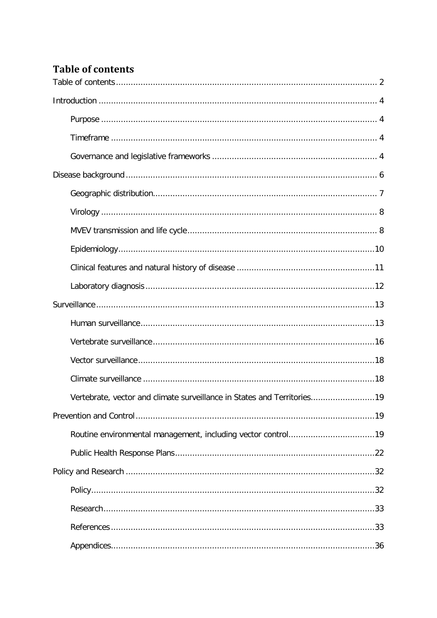# <span id="page-1-0"></span>**Table of contents**

| Vertebrate, vector and climate surveillance in States and Territories19 |  |
|-------------------------------------------------------------------------|--|
|                                                                         |  |
|                                                                         |  |
|                                                                         |  |
|                                                                         |  |
|                                                                         |  |
|                                                                         |  |
|                                                                         |  |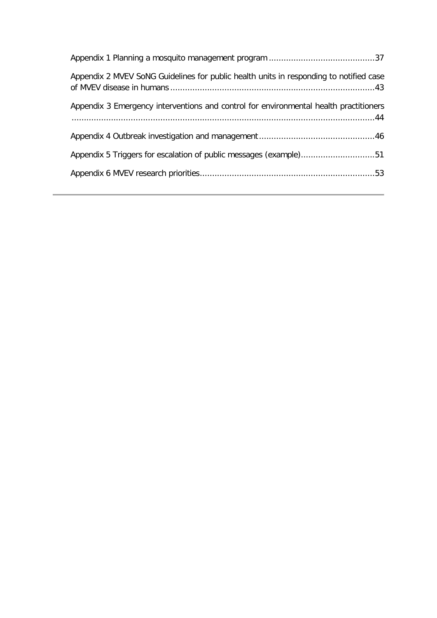| Appendix 2 MVEV SoNG Guidelines for public health units in responding to notified case |
|----------------------------------------------------------------------------------------|
| Appendix 3 Emergency interventions and control for environmental health practitioners  |
|                                                                                        |
| Appendix 5 Triggers for escalation of public messages (example)51                      |
|                                                                                        |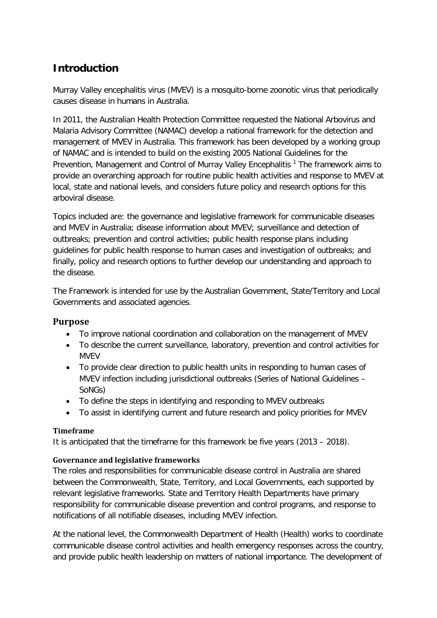# <span id="page-3-0"></span>**Introduction**

Murray Valley encephalitis virus (MVEV) is a mosquito-borne zoonotic virus that periodically causes disease in humans in Australia.

In 2011, the Australian Health Protection Committee requested the National Arbovirus and Malaria Advisory Committee (NAMAC) develop a national framework for the detection and management of MVEV in Australia. This framework has been developed by a working group of NAMAC and is intended to build on the existing 2005 National Guidelines for the Prevention,Management and Control of Murray Valley Encephalitis<sup>1</sup> The framework aims to provide an overarching approach for routine public health activities and response to MVEV at local, state and national levels, and considers future policy and research options for this arboviral disease.

Topics included are: the governance and legislative framework for communicable diseases and MVEV in Australia; disease information about MVEV; surveillance and detection of outbreaks; prevention and control activities; public health response plans including guidelines for public health response to human cases and investigation of outbreaks; and finally, policy and research options to further develop our understanding and approach to the disease.

The Framework is intended for use by the Australian Government, State/Territory and Local Governments and associated agencies.

# <span id="page-3-1"></span>**Purpose**

- To improve national coordination and collaboration on the management of MVEV
- To describe the current surveillance, laboratory, prevention and control activities for MVEV
- To provide clear direction to public health units in responding to human cases of MVEV infection including jurisdictional outbreaks (Series of National Guidelines – SoNGs)
- To define the steps in identifying and responding to MVEV outbreaks
- To assist in identifying current and future research and policy priorities for MVEV

## <span id="page-3-2"></span>**Timeframe**

It is anticipated that the timeframe for this framework be five years (2013 – 2018).

## <span id="page-3-3"></span>**Governance and legislative frameworks**

The roles and responsibilities for communicable disease control in Australia are shared between the Commonwealth, State, Territory, and Local Governments, each supported by relevant legislative frameworks. State and Territory Health Departments have primary responsibility for communicable disease prevention and control programs, and response to notifications of all notifiable diseases, including MVEV infection.

At the national level, the Commonwealth Department of Health (Health) works to coordinate communicable disease control activities and health emergency responses across the country, and provide public health leadership on matters of national importance. The development of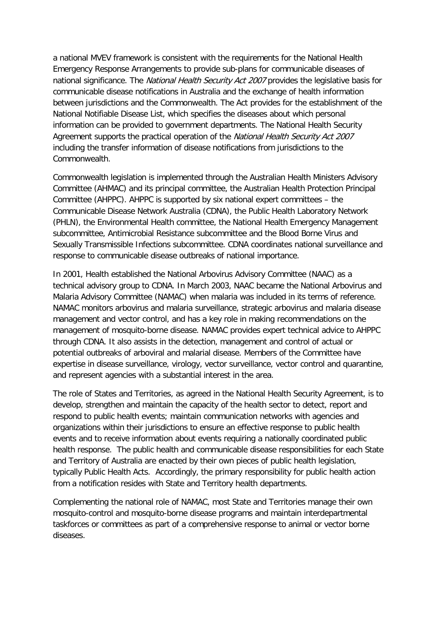a national MVEV framework is consistent with the requirements for the National Health Emergency Response Arrangements to provide sub-plans for communicable diseases of national significance. The National Health Security Act 2007 provides the legislative basis for communicable disease notifications in Australia and the exchange of health information between jurisdictions and the Commonwealth. The Act provides for the establishment of the National Notifiable Disease List, which specifies the diseases about which personal information can be provided to government departments. The National Health Security Agreement supports the practical operation of the National Health Security Act 2007 including the transfer information of disease notifications from jurisdictions to the Commonwealth.

Commonwealth legislation is implemented through the Australian Health Ministers Advisory Committee (AHMAC) and its principal committee, the Australian Health Protection Principal Committee (AHPPC). AHPPC is supported by six national expert committees – the Communicable Disease Network Australia (CDNA), the Public Health Laboratory Network (PHLN), the Environmental Health committee, the National Health Emergency Management subcommittee, Antimicrobial Resistance subcommittee and the Blood Borne Virus and Sexually Transmissible Infections subcommittee. CDNA coordinates national surveillance and response to communicable disease outbreaks of national importance.

In 2001, Health established the National Arbovirus Advisory Committee (NAAC) as a technical advisory group to CDNA. In March 2003, NAAC became the National Arbovirus and Malaria Advisory Committee (NAMAC) when malaria was included in its terms of reference. NAMAC monitors arbovirus and malaria surveillance, strategic arbovirus and malaria disease management and vector control, and has a key role in making recommendations on the management of mosquito-borne disease. NAMAC provides expert technical advice to AHPPC through CDNA. It also assists in the detection, management and control of actual or potential outbreaks of arboviral and malarial disease. Members of the Committee have expertise in disease surveillance, virology, vector surveillance, vector control and quarantine, and represent agencies with a substantial interest in the area.

The role of States and Territories, as agreed in the National Health Security Agreement, is to develop, strengthen and maintain the capacity of the health sector to detect, report and respond to public health events; maintain communication networks with agencies and organizations within their jurisdictions to ensure an effective response to public health events and to receive information about events requiring a nationally coordinated public health response. The public health and communicable disease responsibilities for each State and Territory of Australia are enacted by their own pieces of public health legislation, typically Public Health Acts. Accordingly, the primary responsibility for public health action from a notification resides with State and Territory health departments.

Complementing the national role of NAMAC, most State and Territories manage their own mosquito-control and mosquito-borne disease programs and maintain interdepartmental taskforces or committees as part of a comprehensive response to animal or vector borne diseases.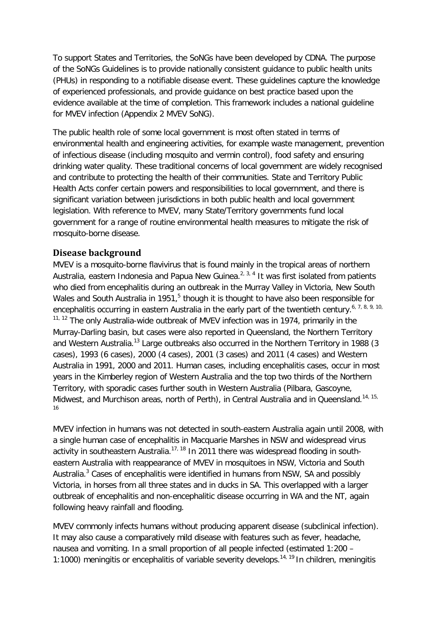To support States and Territories, the SoNGs have been developed by CDNA. The purpose of the SoNGs Guidelines is to provide nationally consistent guidance to public health units (PHUs) in responding to a notifiable disease event. These guidelines capture the knowledge of experienced professionals, and provide guidance on best practice based upon the evidence available at the time of completion. This framework includes a national guideline for MVEV infection (Appendix 2 MVEV SoNG).

The public health role of some local government is most often stated in terms of environmental health and engineering activities, for example waste management, prevention of infectious disease (including mosquito and vermin control), food safety and ensuring drinking water quality. These traditional concerns of local government are widely recognised and contribute to protecting the health of their communities. State and Territory Public Health Acts confer certain powers and responsibilities to local government, and there is significant variation between jurisdictions in both public health and local government legislation. With reference to MVEV, many State/Territory governments fund local government for a range of routine environmental health measures to mitigate the risk of mosquito-borne disease.

# <span id="page-5-0"></span>**Disease background**

MVEV is a mosquito-borne flavivirus that is found mainly in the tropical areas of northern Australia, eastern Indonesia and Papua New Guinea.<sup>[2,](#page-32-3) [3,](#page-32-4) [4](#page-32-5)</sup> It was first isolated from patients who died from encephalitis during an outbreak in the Murray Valley in Victoria, New South Wales and South Australia in 19[5](#page-32-6)1,<sup>5</sup> though it is thought to have also been responsible for encephalitis occurring in eastern Australia in the early part of the twentieth century.<sup>[6,](#page-32-7) [7,](#page-32-8) [8,](#page-32-9) [9,](#page-32-10) 10,</sup>  $11, 12$  $11, 12$  The only Australia-wide outbreak of MVEV infection was in 1974, primarily in the Murray-Darling basin, but cases were also reported in Queensland, the Northern Territory and Western Australia.<sup>[13](#page-33-0)</sup> Large outbreaks also occurred in the Northern Territory in 1988 (3 cases), 1993 (6 cases), 2000 (4 cases), 2001 (3 cases) and 2011 (4 cases) and Western Australia in 1991, 2000 and 2011. Human cases, including encephalitis cases, occur in most years in the Kimberley region of Western Australia and the top two thirds of the Northern Territory, with sporadic cases further south in Western Australia (Pilbara, Gascoyne, Midwest, and Murchison areas, north of Perth), in Central Australia and in Queensland.<sup>[14,](#page-33-1) [15,](#page-33-2)</sup> [16](#page-33-3)

MVEV infection in humans was not detected in south-eastern Australia again until 2008, with a single human case of encephalitis in Macquarie Marshes in NSW and widespread virus activity in southeastern Australia.<sup>[17,](#page-33-4) [18](#page-33-5)</sup> In 2011 there was widespread flooding in southeastern Australia with reappearance of MVEV in mosquitoes in NSW, Victoria and South Australia.<sup>[3](#page-32-4)</sup> Cases of encephalitis were identified in humans from NSW, SA and possibly Victoria, in horses from all three states and in ducks in SA. This overlapped with a larger outbreak of encephalitis and non-encephalitic disease occurring in WA and the NT, again following heavy rainfall and flooding.

MVEV commonly infects humans without producing apparent disease (subclinical infection). It may also cause a comparatively mild disease with features such as fever, headache, nausea and vomiting. In a small proportion of all people infected (estimated 1:200 – 1:1000) meningitis or encephalitis of variable severity develops.<sup>[14,](#page-33-1) [19](#page-33-6)</sup> In children, meningitis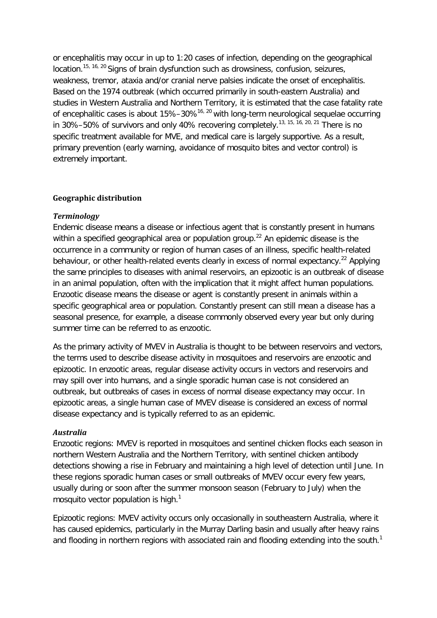or encephalitis may occur in up to 1:20 cases of infection, depending on the geographical location.<sup>[15,](#page-33-2) [16,](#page-33-3) [20](#page-33-7)</sup> Signs of brain dysfunction such as drowsiness, confusion, seizures, weakness, tremor, ataxia and/or cranial nerve palsies indicate the onset of encephalitis. Based on the 1974 outbreak (which occurred primarily in south-eastern Australia) and studies in Western Australia and Northern Territory, it is estimated that the case fatality rate of encephalitic cases is about  $15\% - 30\%$ <sup>[16,](#page-33-3) [20](#page-33-7)</sup> with long-term neurological sequelae occurring in 30%–50% of survivors and only 40% recovering completely.<sup>[13,](#page-33-0) [15,](#page-33-2) [16,](#page-33-3) [20,](#page-33-7) [21](#page-33-8)</sup> There is no specific treatment available for MVE, and medical care is largely supportive. As a result, primary prevention (early warning, avoidance of mosquito bites and vector control) is extremely important.

#### <span id="page-6-0"></span>**Geographic distribution**

#### *Terminology*

Endemic disease means a disease or infectious agent that is constantly present in humans within a specified geographical area or population group.<sup>[22](#page-33-9)</sup> An epidemic disease is the occurrence in a community or region of human cases of an illness, specific health-related behaviour, or other health-related events clearly in excess of normal expectancy.<sup>[22](#page-33-9)</sup> Applying the same principles to diseases with animal reservoirs, an epizootic is an outbreak of disease in an animal population, often with the implication that it might affect human populations. Enzootic disease means the disease or agent is constantly present in animals within a specific geographical area or population. Constantly present can still mean a disease has a seasonal presence, for example, a disease commonly observed every year but only during summer time can be referred to as enzootic.

As the primary activity of MVEV in Australia is thought to be between reservoirs and vectors, the terms used to describe disease activity in mosquitoes and reservoirs are enzootic and epizootic. In enzootic areas, regular disease activity occurs in vectors and reservoirs and may spill over into humans, and a single sporadic human case is not considered an outbreak, but outbreaks of cases in excess of normal disease expectancy may occur. In epizootic areas, a single human case of MVEV disease is considered an excess of normal disease expectancy and is typically referred to as an epidemic.

#### *Australia*

Enzootic regions: MVEV is reported in mosquitoes and sentinel chicken flocks each season in northern Western Australia and the Northern Territory, with sentinel chicken antibody detections showing a rise in February and maintaining a high level of detection until June. In these regions sporadic human cases or small outbreaks of MVEV occur every few years, usually during or soon after the summer monsoon season (February to July) when the mosquito vector population is high[.](#page-32-2) $<sup>1</sup>$ </sup>

Epizootic regions: MVEV activity occurs only occasionally in southeastern Australia, where it has caused epidemics, particularly in the Murray Darling basin and usually after heavy rains and flooding in northern regions with associated rain and flooding extending into the south.<sup>[1](#page-32-2)</sup>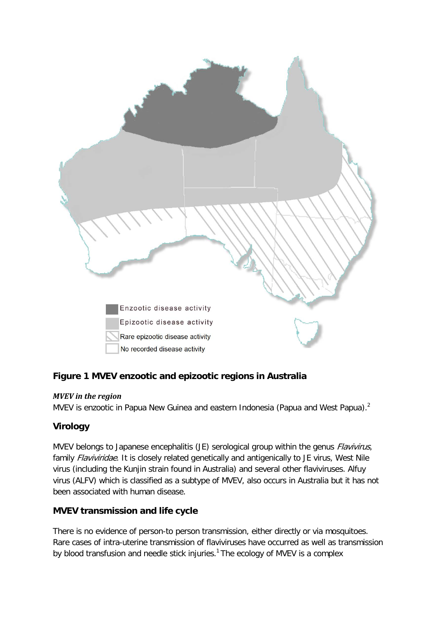

# **Figure 1 MVEV enzootic and epizootic regions in Australia**

## *MVEV in the region*

MVEV is enzootic in Papua New Guinea and eastern Indonesia (Papua and West Papua)[.](#page-32-3)<sup>2</sup>

# <span id="page-7-0"></span>**Virology**

MVEV belongs to Japanese encephalitis (JE) serological group within the genus *Flavivirus*, family Flaviviridae. It is closely related genetically and antigenically to JE virus, West Nile virus (including the Kunjin strain found in Australia) and several other flaviviruses. Alfuy virus (ALFV) which is classified as a subtype of MVEV, also occurs in Australia but it has not been associated with human disease.

# <span id="page-7-1"></span>**MVEV transmission and life cycle**

There is no evidence of person-to person transmission, either directly or via mosquitoes. Rare cases of intra-uterine transmission of flaviviruses have occurred as well as transmission by blood transfusion and needle stick injuries.<sup>1</sup> The ecology of MVEV is a complex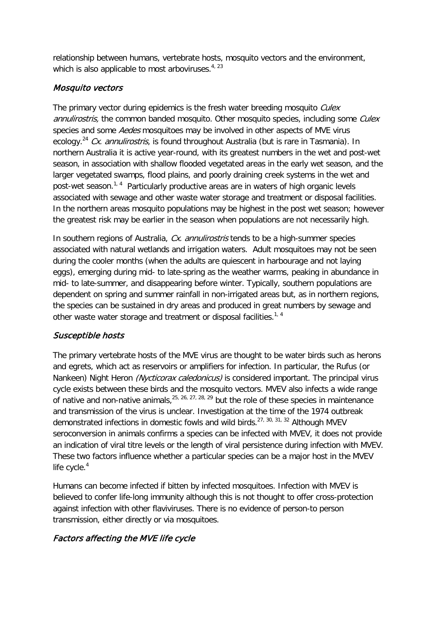relationship between humans, vertebrate hosts, mosquito vectors and the environment, which is also applicable to most arboviruses. $4, 23$  $4, 23$ 

# Mosquito vectors

The primary vector during epidemics is the fresh water breeding mosquito Culex annulirostris, the common banded mosquito. Other mosquito species, including some Culex species and some *Aedes* mosquitoes may be involved in other aspects of MVE virus ecology.<sup>[24](#page-33-11)</sup> Cx. annulirostris, is found throughout Australia (but is rare in Tasmania). In northern Australia it is active year-round, with its greatest numbers in the wet and post-wet season, in association with shallow flooded vegetated areas in the early wet season, and the larger vegetated swamps, flood plains, and poorly draining creek systems in the wet and post-wet season.<sup>[1,](#page-32-2) [4](#page-32-5)</sup> Particularly productive areas are in waters of high organic levels associated with sewage and other waste water storage and treatment or disposal facilities. In the northern areas mosquito populations may be highest in the post wet season; however the greatest risk may be earlier in the season when populations are not necessarily high.

In southern regions of Australia, Cx. annulirostris tends to be a high-summer species associated with natural wetlands and irrigation waters. Adult mosquitoes may not be seen during the cooler months (when the adults are quiescent in harbourage and not laying eggs), emerging during mid- to late-spring as the weather warms, peaking in abundance in mid- to late-summer, and disappearing before winter. Typically, southern populations are dependent on spring and summer rainfall in non-irrigated areas but, as in northern regions, the species can be sustained in dry areas and produced in great numbers by sewage and other waste water storage and treatment or disposal facilities.<sup>[1,](#page-32-2) [4](#page-32-5)</sup>

# Susceptible hosts

The primary vertebrate hosts of the MVE virus are thought to be water birds such as herons and egrets, which act as reservoirs or amplifiers for infection. In particular, the Rufus (or Nankeen) Night Heron (Nycticorax caledonicus) is considered important. The principal virus cycle exists between these birds and the mosquito vectors. MVEV also infects a wide range of native and non-native animals,  $25, 26, 27, 28, 29$  $25, 26, 27, 28, 29$  $25, 26, 27, 28, 29$  $25, 26, 27, 28, 29$  $25, 26, 27, 28, 29$  but the role of these species in maintenance and transmission of the virus is unclear. Investigation at the time of the 1974 outbreak demonstrated infections in domestic fowls and wild birds.[27,](#page-33-14) [30,](#page-33-17) [31,](#page-33-18) [32](#page-33-19) Although MVEV seroconversion in animals confirms a species can be infected with MVEV, it does not provide an indication of viral titre levels or the length of viral persistence during infection with MVEV. These two factors influence whether a particular species can be a major host in the MVEV life cycle. $4$ 

Humans can become infected if bitten by infected mosquitoes. Infection with MVEV is believed to confer life-long immunity although this is not thought to offer cross-protection against infection with other flaviviruses. There is no evidence of person-to person transmission, either directly or via mosquitoes.

# Factors affecting the MVE life cycle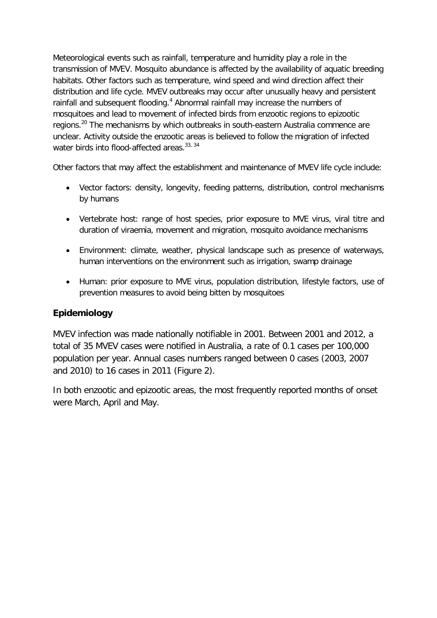Meteorological events such as rainfall, temperature and humidity play a role in the transmission of MVEV. Mosquito abundance is affected by the availability of aquatic breeding habitats. Other factors such as temperature, wind speed and wind direction affect their distribution and life cycle. MVEV outbreaks may occur after unusually heavy and persistent rainfall and subsequent flooding[.](#page-32-5)<sup>4</sup> Abnormal rainfall may increase the numbers of mosquitoes and lead to movement of infected birds from enzootic regions to epizootic regions.<sup>[20](#page-33-7)</sup> The mechanisms by which outbreaks in south-eastern Australia commence are unclear. Activity outside the enzootic areas is believed to follow the migration of infected water birds into flood-affected areas.<sup>[33,](#page-34-0) [34](#page-34-1)</sup>

Other factors that may affect the establishment and maintenance of MVEV life cycle include:

- Vector factors: density, longevity, feeding patterns, distribution, control mechanisms by humans
- Vertebrate host: range of host species, prior exposure to MVE virus, viral titre and duration of viraemia, movement and migration, mosquito avoidance mechanisms
- Environment: climate, weather, physical landscape such as presence of waterways, human interventions on the environment such as irrigation, swamp drainage
- Human: prior exposure to MVE virus, population distribution, lifestyle factors, use of prevention measures to avoid being bitten by mosquitoes

# <span id="page-9-0"></span>**Epidemiology**

MVEV infection was made nationally notifiable in 2001. Between 2001 and 2012, a total of 35 MVEV cases were notified in Australia, a rate of 0.1 cases per 100,000 population per year. Annual cases numbers ranged between 0 cases (2003, 2007 and 2010) to 16 cases in 2011 [\(Figure 2\)](#page-10-1).

In both enzootic and epizootic areas, the most frequently reported months of onset were March, April and May.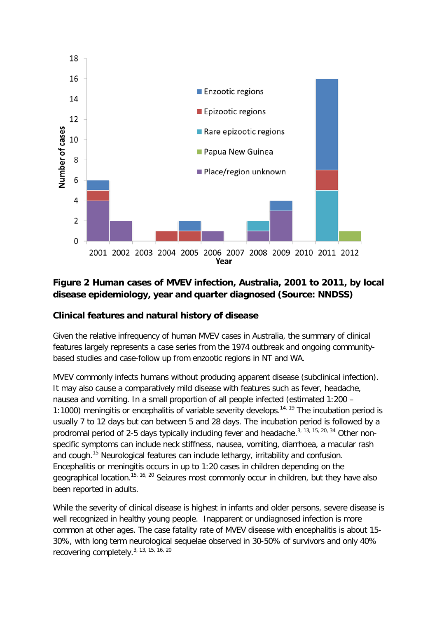

# <span id="page-10-1"></span>**Figure 2 Human cases of MVEV infection, Australia, 2001 to 2011, by local disease epidemiology, year and quarter diagnosed (Source: NNDSS)**

# <span id="page-10-0"></span>**Clinical features and natural history of disease**

Given the relative infrequency of human MVEV cases in Australia, the summary of clinical features largely represents a case series from the 1974 outbreak and ongoing communitybased studies and case-follow up from enzootic regions in NT and WA.

MVEV commonly infects humans without producing apparent disease (subclinical infection). It may also cause a comparatively mild disease with features such as fever, headache, nausea and vomiting. In a small proportion of all people infected (estimated 1:200 – 1:1000) meningitis or encephalitis of variable severity develops.<sup>[14,](#page-33-1) [19](#page-33-6)</sup> The incubation period is usually 7 to 12 days but can between 5 and 28 days. The incubation period is followed by a prodromal period of 2-5 days typically including fever and headache.<sup>[3,](#page-32-4) [13,](#page-33-0) [15,](#page-33-2) [20,](#page-33-7) [34](#page-34-1)</sup> Other nonspecific symptoms can include neck stiffness, nausea, vomiting, diarrhoea, a macular rash and cough.<sup>[15](#page-33-2)</sup> Neurological features can include lethargy, irritability and confusion. Encephalitis or meningitis occurs in up to 1:20 cases in children depending on the geographical location.<sup>[15,](#page-33-2) [16,](#page-33-3) [20](#page-33-7)</sup> Seizures most commonly occur in children, but they have also been reported in adults.

While the severity of clinical disease is highest in infants and older persons, severe disease is well recognized in healthy young people. Inapparent or undiagnosed infection is more common at other ages. The case fatality rate of MVEV disease with encephalitis is about 15- 30%, with long term neurological sequelae observed in 30-50% of survivors and only 40% recovering completely.[3,](#page-32-4) [13,](#page-33-0) [15,](#page-33-2) [16,](#page-33-3) [20](#page-33-7)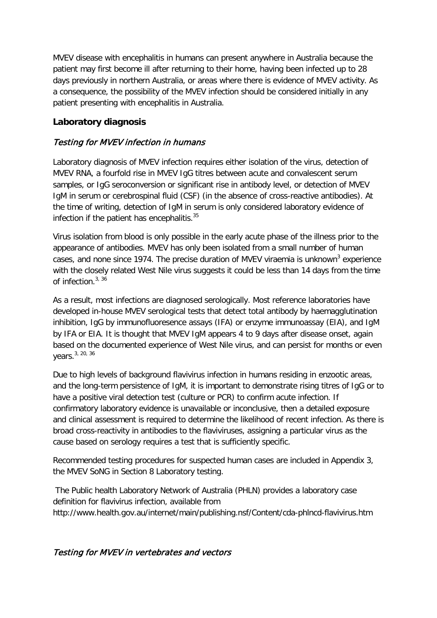MVEV disease with encephalitis in humans can present anywhere in Australia because the patient may first become ill after returning to their home, having been infected up to 28 days previously in northern Australia, or areas where there is evidence of MVEV activity. As a consequence, the possibility of the MVEV infection should be considered initially in any patient presenting with encephalitis in Australia.

# <span id="page-11-0"></span>**Laboratory diagnosis**

# Testing for MVEV infection in humans

Laboratory diagnosis of MVEV infection requires either isolation of the virus, detection of MVEV RNA, a fourfold rise in MVEV IgG titres between acute and convalescent serum samples, or IgG seroconversion or significant rise in antibody level, or detection of MVEV IgM in serum or cerebrospinal fluid (CSF) (in the absence of cross-reactive antibodies). At the time of writing, detection of IgM in serum is only considered laboratory evidence of infection if the patient has encephalitis. $35$ 

Virus isolation from blood is only possible in the early acute phase of the illness prior to the appearance of antibodies. MVEV has only been isolated from a small number of human cases, a[n](#page-32-4)d none since 1974. The precise duration of MVEV viraemia is unknown<sup>3</sup> experience with the closely related West Nile virus suggests it could be less than 14 days from the time of infection.  $3, 36$  $3, 36$ 

As a result, most infections are diagnosed serologically. Most reference laboratories have developed in-house MVEV serological tests that detect total antibody by haemagglutination inhibition, IgG by immunofluoresence assays (IFA) or enzyme immunoassay (EIA), and IgM by IFA or EIA. It is thought that MVEV IgM appears 4 to 9 days after disease onset, again based on the documented experience of West Nile virus, and can persist for months or even years.<sup>[3,](#page-32-4) [20,](#page-33-7) [36](#page-34-3)</sup>

Due to high levels of background flavivirus infection in humans residing in enzootic areas, and the long-term persistence of IgM, it is important to demonstrate rising titres of IgG or to have a positive viral detection test (culture or PCR) to confirm acute infection. If confirmatory laboratory evidence is unavailable or inconclusive, then a detailed exposure and clinical assessment is required to determine the likelihood of recent infection. As there is broad cross-reactivity in antibodies to the flaviviruses, assigning a particular virus as the cause based on serology requires a test that is sufficiently specific.

Recommended testing procedures for suspected human cases are included in Appendix 3, the MVEV SoNG in Section 8 Laboratory testing.

The Public health Laboratory Network of Australia (PHLN) provides a laboratory case definition for flavivirus infection, available from http://www.health.gov.au/internet/main/publishing.nsf/Content/cda-phlncd-flavivirus.htm

# Testing for MVEV in vertebrates and vectors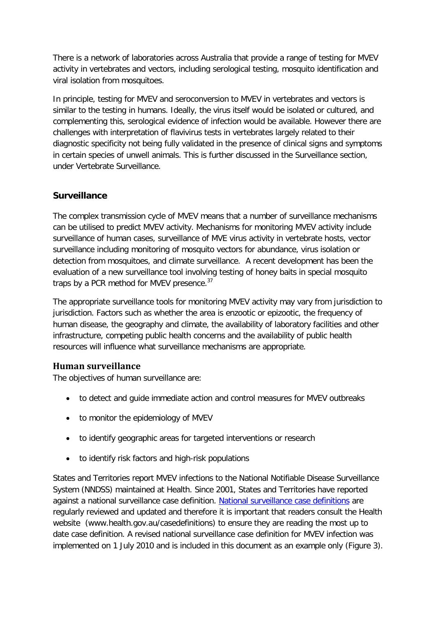There is a network of laboratories across Australia that provide a range of testing for MVEV activity in vertebrates and vectors, including serological testing, mosquito identification and viral isolation from mosquitoes.

In principle, testing for MVEV and seroconversion to MVEV in vertebrates and vectors is similar to the testing in humans. Ideally, the virus itself would be isolated or cultured, and complementing this, serological evidence of infection would be available. However there are challenges with interpretation of flavivirus tests in vertebrates largely related to their diagnostic specificity not being fully validated in the presence of clinical signs and symptoms in certain species of unwell animals. This is further discussed in the Surveillance section, under Vertebrate Surveillance.

# <span id="page-12-0"></span>**Surveillance**

The complex transmission cycle of MVEV means that a number of surveillance mechanisms can be utilised to predict MVEV activity. Mechanisms for monitoring MVEV activity include surveillance of human cases, surveillance of MVE virus activity in vertebrate hosts, vector surveillance including monitoring of mosquito vectors for abundance, virus isolation or detection from mosquitoes, and climate surveillance. A recent development has been the evaluation of a new surveillance tool involving testing of honey baits in special mosquito traps by a PCR method for MVEV presence.<sup>[37](#page-34-4)</sup>

The appropriate surveillance tools for monitoring MVEV activity may vary from jurisdiction to jurisdiction. Factors such as whether the area is enzootic or epizootic, the frequency of human disease, the geography and climate, the availability of laboratory facilities and other infrastructure, competing public health concerns and the availability of public health resources will influence what surveillance mechanisms are appropriate.

# <span id="page-12-1"></span>**Human surveillance**

The objectives of human surveillance are:

- to detect and guide immediate action and control measures for MVEV outbreaks
- to monitor the epidemiology of MVEV
- to identify geographic areas for targeted interventions or research
- to identify risk factors and high-risk populations

States and Territories report MVEV infections to the National Notifiable Disease Surveillance System (NNDSS) maintained at Health. Since 2001, States and Territories have reported against a national surveillance case definition. [National surveillance case definitions](http://www.health.gov.au/casedefinitions) are regularly reviewed and updated and therefore it is important that readers consult the Health website (www.health.gov.au/casedefinitions) to ensure they are reading the most up to date case definition. A revised national surveillance case definition for MVEV infection was implemented on 1 July 2010 and is included in this document as an example only [\(Figure 3\)](#page-13-0).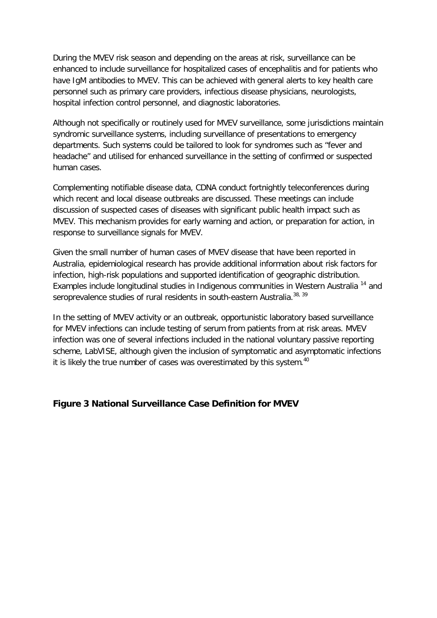During the MVEV risk season and depending on the areas at risk, surveillance can be enhanced to include surveillance for hospitalized cases of encephalitis and for patients who have IgM antibodies to MVEV. This can be achieved with general alerts to key health care personnel such as primary care providers, infectious disease physicians, neurologists, hospital infection control personnel, and diagnostic laboratories.

Although not specifically or routinely used for MVEV surveillance, some jurisdictions maintain syndromic surveillance systems, including surveillance of presentations to emergency departments. Such systems could be tailored to look for syndromes such as "fever and headache" and utilised for enhanced surveillance in the setting of confirmed or suspected human cases.

Complementing notifiable disease data, CDNA conduct fortnightly teleconferences during which recent and local disease outbreaks are discussed. These meetings can include discussion of suspected cases of diseases with significant public health impact such as MVEV. This mechanism provides for early warning and action, or preparation for action, in response to surveillance signals for MVEV.

Given the small number of human cases of MVEV disease that have been reported in Australia, epidemiological research has provide additional information about risk factors for infection, high-risk populations and supported identification of geographic distribution. Examples include longitudinal studies in Indigenous communities in Western Australia<sup>[14](#page-33-1)</sup> and seroprevalence studies of rural residents in south-eastern Australia.<sup>[38,](#page-34-5) [39](#page-34-6)</sup>

In the setting of MVEV activity or an outbreak, opportunistic laboratory based surveillance for MVEV infections can include testing of serum from patients from at risk areas. MVEV infection was one of several infections included in the national voluntary passive reporting scheme, LabVISE, although given the inclusion of symptomatic and asymptomatic infections it is likely the true number of cases was overestimated by this system.<sup>[40](#page-34-7)</sup>

## <span id="page-13-0"></span>**Figure 3 National Surveillance Case Definition for MVEV**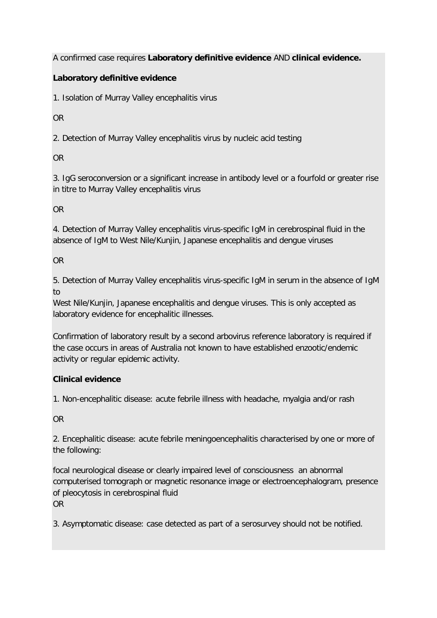A confirmed case requires **Laboratory definitive evidence** AND **clinical evidence.**

# **Laboratory definitive evidence**

1. Isolation of Murray Valley encephalitis virus

OR

2. Detection of Murray Valley encephalitis virus by nucleic acid testing

OR

3. IgG seroconversion or a significant increase in antibody level or a fourfold or greater rise in titre to Murray Valley encephalitis virus

OR

4. Detection of Murray Valley encephalitis virus-specific IgM in cerebrospinal fluid in the absence of IgM to West Nile/Kunjin, Japanese encephalitis and dengue viruses

OR

5. Detection of Murray Valley encephalitis virus-specific IgM in serum in the absence of IgM to

West Nile/Kunjin, Japanese encephalitis and dengue viruses. This is only accepted as laboratory evidence for encephalitic illnesses.

Confirmation of laboratory result by a second arbovirus reference laboratory is required if the case occurs in areas of Australia not known to have established enzootic/endemic activity or regular epidemic activity.

# **Clinical evidence**

1. Non-encephalitic disease: acute febrile illness with headache, myalgia and/or rash

OR

2. Encephalitic disease: acute febrile meningoencephalitis characterised by one or more of the following:

focal neurological disease or clearly impaired level of consciousness an abnormal computerised tomograph or magnetic resonance image or electroencephalogram, presence of pleocytosis in cerebrospinal fluid OR

3. Asymptomatic disease: case detected as part of a serosurvey should not be notified.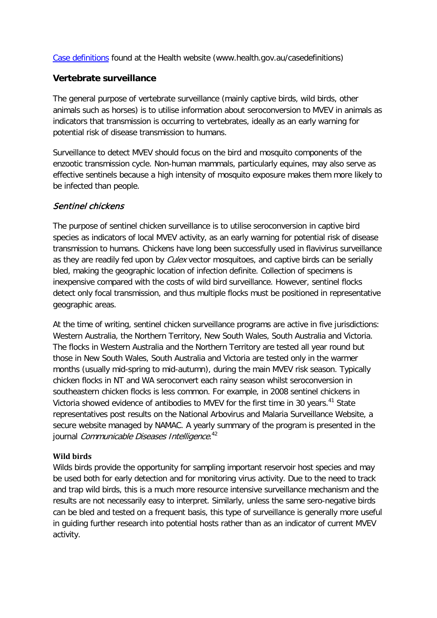[Case definitions](http://www.health.gov.au/casedefinitions) found at the Health website (www.health.gov.au/casedefinitions)

## <span id="page-15-0"></span>**Vertebrate surveillance**

The general purpose of vertebrate surveillance (mainly captive birds, wild birds, other animals such as horses) is to utilise information about seroconversion to MVEV in animals as indicators that transmission is occurring to vertebrates, ideally as an early warning for potential risk of disease transmission to humans.

Surveillance to detect MVEV should focus on the bird and mosquito components of the enzootic transmission cycle. Non-human mammals, particularly equines, may also serve as effective sentinels because a high intensity of mosquito exposure makes them more likely to be infected than people.

# Sentinel chickens

The purpose of sentinel chicken surveillance is to utilise seroconversion in captive bird species as indicators of local MVEV activity, as an early warning for potential risk of disease transmission to humans. Chickens have long been successfully used in flavivirus surveillance as they are readily fed upon by *Culex* vector mosquitoes, and captive birds can be serially bled, making the geographic location of infection definite. Collection of specimens is inexpensive compared with the costs of wild bird surveillance. However, sentinel flocks detect only focal transmission, and thus multiple flocks must be positioned in representative geographic areas.

At the time of writing, sentinel chicken surveillance programs are active in five jurisdictions: Western Australia, the Northern Territory, New South Wales, South Australia and Victoria. The flocks in Western Australia and the Northern Territory are tested all year round but those in New South Wales, South Australia and Victoria are tested only in the warmer months (usually mid-spring to mid-autumn), during the main MVEV risk season. Typically chicken flocks in NT and WA seroconvert each rainy season whilst seroconversion in southeastern chicken flocks is less common. For example, in 2008 sentinel chickens in Victoria showed evidence of antibodies to MVEV for the first time in 30 years.<sup>[41](#page-34-8)</sup> State representatives post results on the National Arbovirus and Malaria Surveillance Website, a secure website managed by NAMAC. A yearly summary of the program is presented in the journal *Communicable Diseases Intelligence*.<sup>[42](#page-34-9)</sup>

## **Wild birds**

Wilds birds provide the opportunity for sampling important reservoir host species and may be used both for early detection and for monitoring virus activity. Due to the need to track and trap wild birds, this is a much more resource intensive surveillance mechanism and the results are not necessarily easy to interpret. Similarly, unless the same sero-negative birds can be bled and tested on a frequent basis, this type of surveillance is generally more useful in guiding further research into potential hosts rather than as an indicator of current MVEV activity.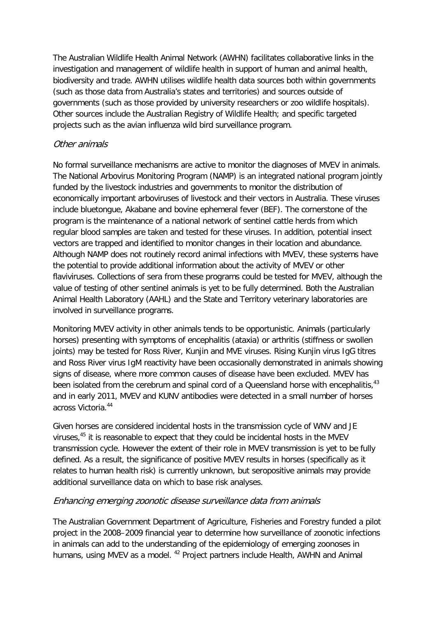The Australian Wildlife Health Animal Network (AWHN) facilitates collaborative links in the investigation and management of wildlife health in support of human and animal health, biodiversity and trade. AWHN utilises wildlife health data sources both within governments (such as those data from Australia's states and territories) and sources outside of governments (such as those provided by university researchers or zoo wildlife hospitals). Other sources include the Australian Registry of Wildlife Health; and specific targeted projects such as the avian influenza wild bird surveillance program.

# Other animals

No formal surveillance mechanisms are active to monitor the diagnoses of MVEV in animals. The National Arbovirus Monitoring Program (NAMP) is an integrated national program jointly funded by the livestock industries and governments to monitor the distribution of economically important arboviruses of livestock and their vectors in Australia. These viruses include bluetongue, Akabane and bovine ephemeral fever (BEF). The cornerstone of the program is the maintenance of a national network of sentinel cattle herds from which regular blood samples are taken and tested for these viruses. In addition, potential insect vectors are trapped and identified to monitor changes in their location and abundance. Although NAMP does not routinely record animal infections with MVEV, these systems have the potential to provide additional information about the activity of MVEV or other flaviviruses. Collections of sera from these programs could be tested for MVEV, although the value of testing of other sentinel animals is yet to be fully determined. Both the Australian Animal Health Laboratory (AAHL) and the State and Territory veterinary laboratories are involved in surveillance programs.

Monitoring MVEV activity in other animals tends to be opportunistic. Animals (particularly horses) presenting with symptoms of encephalitis (ataxia) or arthritis (stiffness or swollen joints) may be tested for Ross River, Kunjin and MVE viruses. Rising Kunjin virus IgG titres and Ross River virus IgM reactivity have been occasionally demonstrated in animals showing signs of disease, where more common causes of disease have been excluded. MVEV has been isolated from the cerebrum and spinal cord of a Queensland horse with encephalitis,<sup>[43](#page-34-10)</sup> and in early 2011, MVEV and KUNV antibodies were detected in a small number of horses across Victoria.[44](#page-34-11)

Given horses are considered incidental hosts in the transmission cycle of WNV and JE viruses,<sup>[45](#page-34-12)</sup> it is reasonable to expect that they could be incidental hosts in the MVEV transmission cycle. However the extent of their role in MVEV transmission is yet to be fully defined. As a result, the significance of positive MVEV results in horses (specifically as it relates to human health risk) is currently unknown, but seropositive animals may provide additional surveillance data on which to base risk analyses.

## Enhancing emerging zoonotic disease surveillance data from animals

The Australian Government Department of Agriculture, Fisheries and Forestry funded a pilot project in the 2008–2009 financial year to determine how surveillance of zoonotic infections in animals can add to the understanding of the epidemiology of emerging zoonoses in humans, using MVEV as a model.<sup>[42](#page-34-9)</sup> Project partners include Health, AWHN and Animal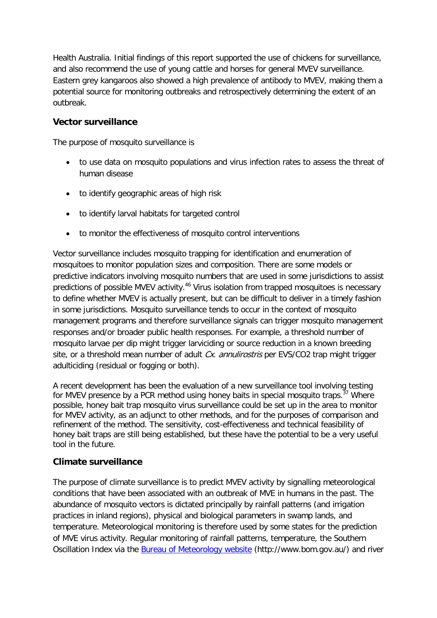Health Australia. Initial findings of this report supported the use of chickens for surveillance, and also recommend the use of young cattle and horses for general MVEV surveillance. Eastern grey kangaroos also showed a high prevalence of antibody to MVEV, making them a potential source for monitoring outbreaks and retrospectively determining the extent of an outbreak.

# <span id="page-17-0"></span>**Vector surveillance**

The purpose of mosquito surveillance is

- to use data on mosquito populations and virus infection rates to assess the threat of human disease
- to identify geographic areas of high risk
- to identify larval habitats for targeted control
- to monitor the effectiveness of mosquito control interventions

Vector surveillance includes mosquito trapping for identification and enumeration of mosquitoes to monitor population sizes and composition. There are some models or predictive indicators involving mosquito numbers that are used in some jurisdictions to assist predictions of possible MVEV activity.<sup>[46](#page-34-13)</sup> Virus isolation from trapped mosquitoes is necessary to define whether MVEV is actually present, but can be difficult to deliver in a timely fashion in some jurisdictions. Mosquito surveillance tends to occur in the context of mosquito management programs and therefore surveillance signals can trigger mosquito management responses and/or broader public health responses. For example, a threshold number of mosquito larvae per dip might trigger larviciding or source reduction in a known breeding site, or a threshold mean number of adult Cx. annulirostris per EVS/CO2 trap might trigger adulticiding (residual or fogging or both).

A recent development has been the evaluation of a new surveillance tool involving testing for MVEV presence by a PCR method using honey baits in special mosquito traps.<sup>[37](#page-34-4)</sup> Where possible, honey bait trap mosquito virus surveillance could be set up in the area to monitor for MVEV activity, as an adjunct to other methods, and for the purposes of comparison and refinement of the method. The sensitivity, cost-effectiveness and technical feasibility of honey bait traps are still being established, but these have the potential to be a very useful tool in the future.

# <span id="page-17-1"></span>**Climate surveillance**

The purpose of climate surveillance is to predict MVEV activity by signalling meteorological conditions that have been associated with an outbreak of MVE in humans in the past. The abundance of mosquito vectors is dictated principally by rainfall patterns (and irrigation practices in inland regions), physical and biological parameters in swamp lands, and temperature. Meteorological monitoring is therefore used by some states for the prediction of MVE virus activity. Regular monitoring of rainfall patterns, temperature, the Southern Oscillation Index via the [Bureau of Meteorology](http://www.bom.gov.au/) website (http://www.bom.gov.au/) and river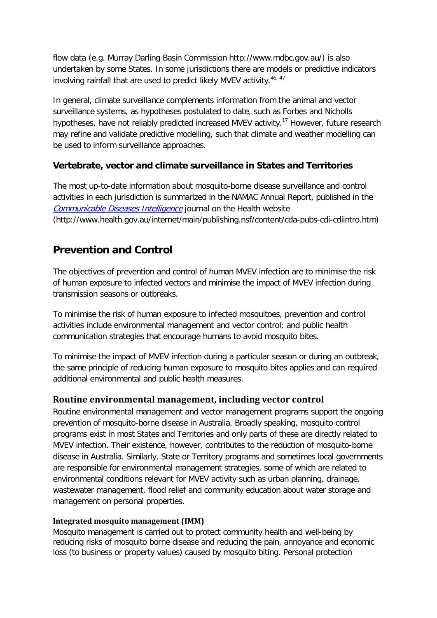flow data (e.g. Murray Darling Basin Commission http://www.mdbc.gov.au/) is also undertaken by some States. In some jurisdictions there are models or predictive indicators involving rainfall that are used to predict likely MVEV activity. [46,](#page-34-13) [47](#page-34-14)

In general, climate surveillance complements information from the animal and vector surveillance systems, as hypotheses postulated to date, such as Forbes and Nicholls hypotheses, have not reliably predicted increased MVEV activity.<sup>[17](#page-33-4)</sup> However, future research may refine and validate predictive modelling, such that climate and weather modelling can be used to inform surveillance approaches.

# <span id="page-18-0"></span>**Vertebrate, vector and climate surveillance in States and Territories**

The most up-to-date information about mosquito-borne disease surveillance and control activities in each jurisdiction is summarized in the NAMAC Annual Report, published in the [Communicable Diseases Intelligence](http://www.health.gov.au/internet/main/publishing.nsf/content/cda-pubs-cdi-cdiintro.htm) journal on the Health website (http://www.health.gov.au/internet/main/publishing.nsf/content/cda-pubs-cdi-cdiintro.htm)

# <span id="page-18-1"></span>**Prevention and Control**

The objectives of prevention and control of human MVEV infection are to minimise the risk of human exposure to infected vectors and minimise the impact of MVEV infection during transmission seasons or outbreaks.

To minimise the risk of human exposure to infected mosquitoes, prevention and control activities include environmental management and vector control; and public health communication strategies that encourage humans to avoid mosquito bites.

To minimise the impact of MVEV infection during a particular season or during an outbreak, the same principle of reducing human exposure to mosquito bites applies and can required additional environmental and public health measures.

# <span id="page-18-2"></span>**Routine environmental management, including vector control**

Routine environmental management and vector management programs support the ongoing prevention of mosquito-borne disease in Australia. Broadly speaking, mosquito control programs exist in most States and Territories and only parts of these are directly related to MVEV infection. Their existence, however, contributes to the reduction of mosquito-borne disease in Australia. Similarly, State or Territory programs and sometimes local governments are responsible for environmental management strategies, some of which are related to environmental conditions relevant for MVEV activity such as urban planning, drainage, wastewater management, flood relief and community education about water storage and management on personal properties.

## **Integrated mosquito management (IMM)**

Mosquito management is carried out to protect community health and well-being by reducing risks of mosquito borne disease and reducing the pain, annoyance and economic loss (to business or property values) caused by mosquito biting. Personal protection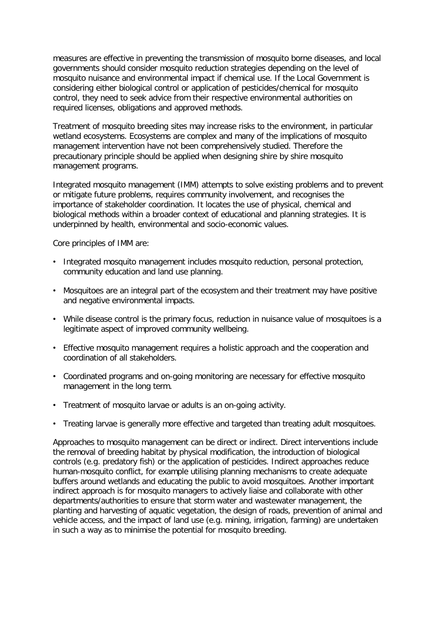measures are effective in preventing the transmission of mosquito borne diseases, and local governments should consider mosquito reduction strategies depending on the level of mosquito nuisance and environmental impact if chemical use. If the Local Government is considering either biological control or application of pesticides/chemical for mosquito control, they need to seek advice from their respective environmental authorities on required licenses, obligations and approved methods.

Treatment of mosquito breeding sites may increase risks to the environment, in particular wetland ecosystems. Ecosystems are complex and many of the implications of mosquito management intervention have not been comprehensively studied. Therefore the precautionary principle should be applied when designing shire by shire mosquito management programs.

Integrated mosquito management (IMM) attempts to solve existing problems and to prevent or mitigate future problems, requires community involvement, and recognises the importance of stakeholder coordination. It locates the use of physical, chemical and biological methods within a broader context of educational and planning strategies. It is underpinned by health, environmental and socio-economic values.

Core principles of IMM are:

- Integrated mosquito management includes mosquito reduction, personal protection, community education and land use planning.
- Mosquitoes are an integral part of the ecosystem and their treatment may have positive and negative environmental impacts.
- While disease control is the primary focus, reduction in nuisance value of mosquitoes is a legitimate aspect of improved community wellbeing.
- Effective mosquito management requires a holistic approach and the cooperation and coordination of all stakeholders.
- Coordinated programs and on-going monitoring are necessary for effective mosquito management in the long term.
- Treatment of mosquito larvae or adults is an on-going activity.
- Treating larvae is generally more effective and targeted than treating adult mosquitoes.

Approaches to mosquito management can be direct or indirect. Direct interventions include the removal of breeding habitat by physical modification, the introduction of biological controls (e.g. predatory fish) or the application of pesticides. Indirect approaches reduce human-mosquito conflict, for example utilising planning mechanisms to create adequate buffers around wetlands and educating the public to avoid mosquitoes. Another important indirect approach is for mosquito managers to actively liaise and collaborate with other departments/authorities to ensure that storm water and wastewater management, the planting and harvesting of aquatic vegetation, the design of roads, prevention of animal and vehicle access, and the impact of land use (e.g. mining, irrigation, farming) are undertaken in such a way as to minimise the potential for mosquito breeding.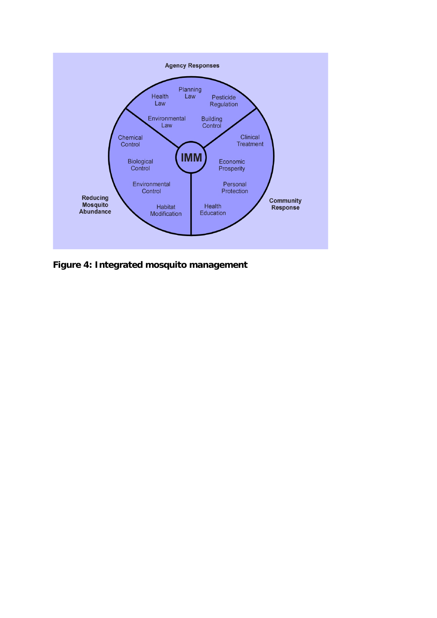

**Figure 4: Integrated mosquito management**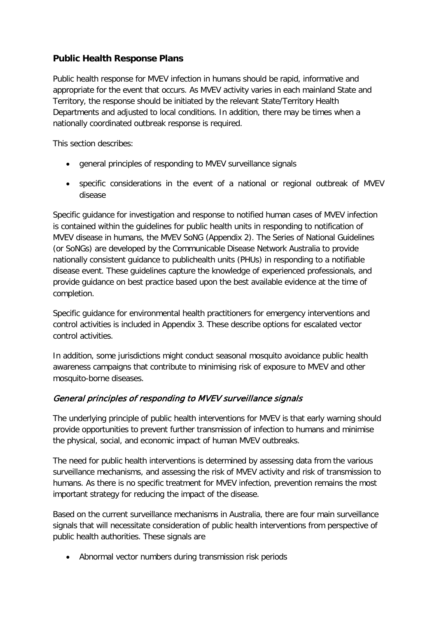# <span id="page-21-0"></span>**Public Health Response Plans**

Public health response for MVEV infection in humans should be rapid, informative and appropriate for the event that occurs. As MVEV activity varies in each mainland State and Territory, the response should be initiated by the relevant State/Territory Health Departments and adjusted to local conditions. In addition, there may be times when a nationally coordinated outbreak response is required.

This section describes:

- general principles of responding to MVEV surveillance signals
- specific considerations in the event of a national or regional outbreak of MVEV disease

Specific guidance for investigation and response to notified human cases of MVEV infection is contained within the guidelines for public health units in responding to notification of MVEV disease in humans, the MVEV SoNG (Appendix 2). The Series of National Guidelines (or SoNGs) are developed by the Communicable Disease Network Australia to provide nationally consistent guidance to publichealth units (PHUs) in responding to a notifiable disease event. These guidelines capture the knowledge of experienced professionals, and provide guidance on best practice based upon the best available evidence at the time of completion.

Specific guidance for environmental health practitioners for emergency interventions and control activities is included in Appendix 3. These describe options for escalated vector control activities.

In addition, some jurisdictions might conduct seasonal mosquito avoidance public health awareness campaigns that contribute to minimising risk of exposure to MVEV and other mosquito-borne diseases.

# General principles of responding to MVEV surveillance signals

The underlying principle of public health interventions for MVEV is that early warning should provide opportunities to prevent further transmission of infection to humans and minimise the physical, social, and economic impact of human MVEV outbreaks.

The need for public health interventions is determined by assessing data from the various surveillance mechanisms, and assessing the risk of MVEV activity and risk of transmission to humans. As there is no specific treatment for MVEV infection, prevention remains the most important strategy for reducing the impact of the disease.

Based on the current surveillance mechanisms in Australia, there are four main surveillance signals that will necessitate consideration of public health interventions from perspective of public health authorities. These signals are

• Abnormal vector numbers during transmission risk periods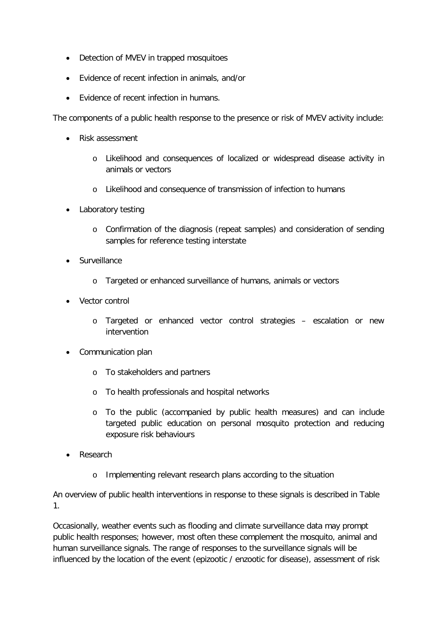- Detection of MVEV in trapped mosquitoes
- Evidence of recent infection in animals, and/or
- Evidence of recent infection in humans.

The components of a public health response to the presence or risk of MVEV activity include:

- Risk assessment
	- o Likelihood and consequences of localized or widespread disease activity in animals or vectors
	- o Likelihood and consequence of transmission of infection to humans
- Laboratory testing
	- o Confirmation of the diagnosis (repeat samples) and consideration of sending samples for reference testing interstate
- Surveillance
	- o Targeted or enhanced surveillance of humans, animals or vectors
- Vector control
	- o Targeted or enhanced vector control strategies escalation or new intervention
- Communication plan
	- o To stakeholders and partners
	- o To health professionals and hospital networks
	- o To the public (accompanied by public health measures) and can include targeted public education on personal mosquito protection and reducing exposure risk behaviours
- Research
	- o Implementing relevant research plans according to the situation

An overview of public health interventions in response to these signals is described in [Table](#page-24-0)  [1.](#page-24-0)

Occasionally, weather events such as flooding and climate surveillance data may prompt public health responses; however, most often these complement the mosquito, animal and human surveillance signals. The range of responses to the surveillance signals will be influenced by the location of the event (epizootic / enzootic for disease), assessment of risk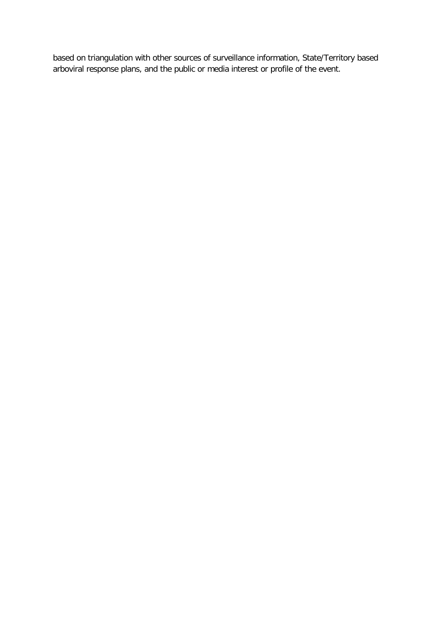based on triangulation with other sources of surveillance information, State/Territory based arboviral response plans, and the public or media interest or profile of the event.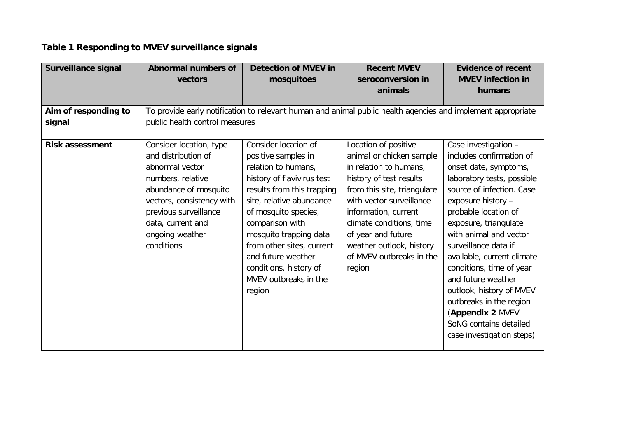# **Table 1 Responding to MVEV surveillance signals**

<span id="page-24-0"></span>

| <b>Surveillance signal</b> | <b>Abnormal numbers of</b>                     | <b>Detection of MVEV in</b>                                                                                 | <b>Recent MVEV</b>                               | <b>Evidence of recent</b>                        |
|----------------------------|------------------------------------------------|-------------------------------------------------------------------------------------------------------------|--------------------------------------------------|--------------------------------------------------|
|                            | vectors                                        | mosquitoes                                                                                                  | seroconversion in                                | <b>MVEV infection in</b>                         |
|                            |                                                |                                                                                                             | animals                                          | humans                                           |
|                            |                                                |                                                                                                             |                                                  |                                                  |
| Aim of responding to       |                                                | To provide early notification to relevant human and animal public health agencies and implement appropriate |                                                  |                                                  |
| signal                     | public health control measures                 |                                                                                                             |                                                  |                                                  |
| <b>Risk assessment</b>     | Consider location, type<br>and distribution of | Consider location of<br>positive samples in                                                                 | Location of positive<br>animal or chicken sample | Case investigation -<br>includes confirmation of |
|                            | abnormal vector                                | relation to humans,                                                                                         | in relation to humans,                           | onset date, symptoms,                            |
|                            | numbers, relative                              | history of flavivirus test                                                                                  | history of test results                          | laboratory tests, possible                       |
|                            | abundance of mosquito                          | results from this trapping                                                                                  | from this site, triangulate                      | source of infection. Case                        |
|                            | vectors, consistency with                      | site, relative abundance                                                                                    | with vector surveillance                         | exposure history -                               |
|                            | previous surveillance                          | of mosquito species,                                                                                        | information, current                             | probable location of                             |
|                            | data, current and                              | comparison with                                                                                             | climate conditions, time                         | exposure, triangulate                            |
|                            | ongoing weather                                | mosquito trapping data                                                                                      | of year and future                               | with animal and vector                           |
|                            | conditions                                     | from other sites, current                                                                                   | weather outlook, history                         | surveillance data if                             |
|                            |                                                | and future weather                                                                                          | of MVEV outbreaks in the                         | available, current climate                       |
|                            |                                                | conditions, history of                                                                                      | region                                           | conditions, time of year                         |
|                            |                                                | MVEV outbreaks in the                                                                                       |                                                  | and future weather                               |
|                            |                                                | region                                                                                                      |                                                  | outlook, history of MVEV                         |
|                            |                                                |                                                                                                             |                                                  | outbreaks in the region                          |
|                            |                                                |                                                                                                             |                                                  | (Appendix 2 MVEV                                 |
|                            |                                                |                                                                                                             |                                                  | SoNG contains detailed                           |
|                            |                                                |                                                                                                             |                                                  | case investigation steps)                        |
|                            |                                                |                                                                                                             |                                                  |                                                  |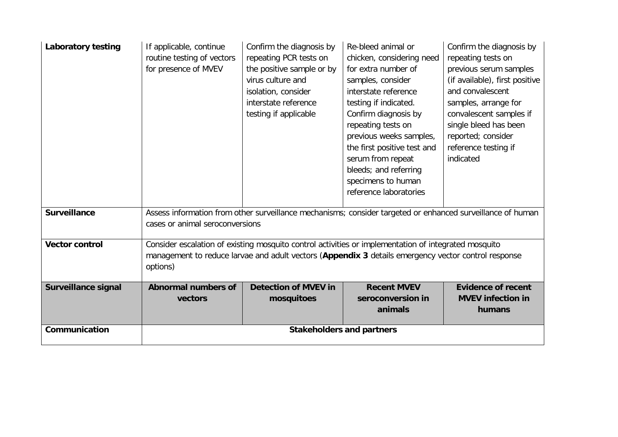| Laboratory testing         | If applicable, continue                                                                                    | Confirm the diagnosis by    | Re-bleed animal or               | Confirm the diagnosis by       |
|----------------------------|------------------------------------------------------------------------------------------------------------|-----------------------------|----------------------------------|--------------------------------|
|                            | routine testing of vectors                                                                                 | repeating PCR tests on      | chicken, considering need        | repeating tests on             |
|                            | for presence of MVEV                                                                                       | the positive sample or by   | for extra number of              | previous serum samples         |
|                            |                                                                                                            | virus culture and           | samples, consider                | (if available), first positive |
|                            |                                                                                                            | isolation, consider         | interstate reference             | and convalescent               |
|                            |                                                                                                            | interstate reference        | testing if indicated.            | samples, arrange for           |
|                            |                                                                                                            | testing if applicable       | Confirm diagnosis by             | convalescent samples if        |
|                            |                                                                                                            |                             | repeating tests on               | single bleed has been          |
|                            |                                                                                                            |                             | previous weeks samples,          | reported; consider             |
|                            |                                                                                                            |                             | the first positive test and      | reference testing if           |
|                            |                                                                                                            |                             | serum from repeat                | indicated                      |
|                            |                                                                                                            |                             | bleeds; and referring            |                                |
|                            |                                                                                                            |                             | specimens to human               |                                |
|                            |                                                                                                            |                             | reference laboratories           |                                |
|                            |                                                                                                            |                             |                                  |                                |
| <b>Surveillance</b>        | Assess information from other surveillance mechanisms; consider targeted or enhanced surveillance of human |                             |                                  |                                |
|                            | cases or animal seroconversions                                                                            |                             |                                  |                                |
| <b>Vector control</b>      | Consider escalation of existing mosquito control activities or implementation of integrated mosquito       |                             |                                  |                                |
|                            | management to reduce larvae and adult vectors (Appendix 3 details emergency vector control response        |                             |                                  |                                |
|                            | options)                                                                                                   |                             |                                  |                                |
|                            |                                                                                                            |                             |                                  |                                |
| <b>Surveillance signal</b> | <b>Abnormal numbers of</b>                                                                                 | <b>Detection of MVEV in</b> | <b>Recent MVEV</b>               | <b>Evidence of recent</b>      |
|                            | vectors                                                                                                    | mosquitoes                  | seroconversion in                | <b>MVEV infection in</b>       |
|                            |                                                                                                            |                             | animals                          | humans                         |
| Communication              |                                                                                                            |                             | <b>Stakeholders and partners</b> |                                |
|                            |                                                                                                            |                             |                                  |                                |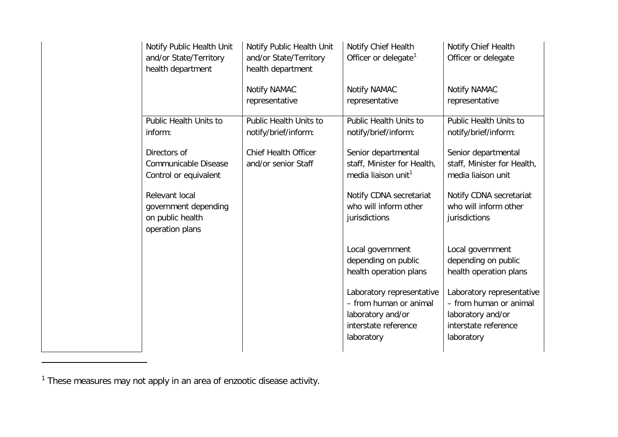<span id="page-26-0"></span>

| Notify Public Health Unit<br>and/or State/Territory<br>health department      | Notify Public Health Unit<br>and/or State/Territory<br>health department | Notify Chief Health<br>Officer or delegate <sup>1</sup>                                                        | Notify Chief Health<br>Officer or delegate                                                                     |
|-------------------------------------------------------------------------------|--------------------------------------------------------------------------|----------------------------------------------------------------------------------------------------------------|----------------------------------------------------------------------------------------------------------------|
|                                                                               | Notify NAMAC<br>representative                                           | Notify NAMAC<br>representative                                                                                 | Notify NAMAC<br>representative                                                                                 |
| Public Health Units to<br>inform:                                             | Public Health Units to<br>notify/brief/inform:                           | Public Health Units to<br>notify/brief/inform:                                                                 | Public Health Units to<br>notify/brief/inform:                                                                 |
| Directors of<br>Communicable Disease<br>Control or equivalent                 | <b>Chief Health Officer</b><br>and/or senior Staff                       | Senior departmental<br>staff, Minister for Health,<br>media liaison unit <sup>1</sup>                          | Senior departmental<br>staff, Minister for Health,<br>media liaison unit                                       |
| Relevant local<br>government depending<br>on public health<br>operation plans |                                                                          | Notify CDNA secretariat<br>who will inform other<br>jurisdictions                                              | Notify CDNA secretariat<br>who will inform other<br>jurisdictions                                              |
|                                                                               |                                                                          | Local government<br>depending on public<br>health operation plans                                              | Local government<br>depending on public<br>health operation plans                                              |
|                                                                               |                                                                          | Laboratory representative<br>- from human or animal<br>laboratory and/or<br>interstate reference<br>laboratory | Laboratory representative<br>- from human or animal<br>laboratory and/or<br>interstate reference<br>laboratory |

 $1$  These measures may not apply in an area of enzootic disease activity.

-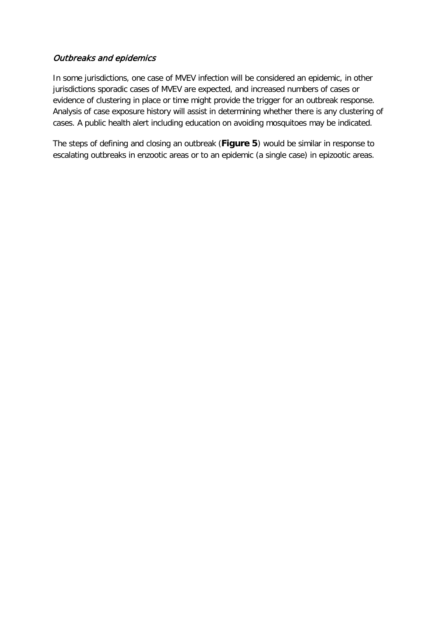# Outbreaks and epidemics

In some jurisdictions, one case of MVEV infection will be considered an epidemic, in other jurisdictions sporadic cases of MVEV are expected, and increased numbers of cases or evidence of clustering in place or time might provide the trigger for an outbreak response. Analysis of case exposure history will assist in determining whether there is any clustering of cases. A public health alert including education on avoiding mosquitoes may be indicated.

The steps of defining and closing an outbreak (**[Figure](#page-29-0) 5**) would be similar in response to escalating outbreaks in enzootic areas or to an epidemic (a single case) in epizootic areas.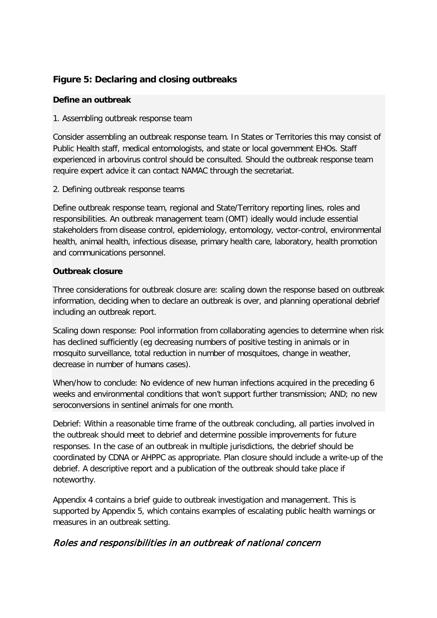# <span id="page-29-0"></span>**Figure 5: Declaring and closing outbreaks**

# **Define an outbreak**

## 1. Assembling outbreak response team

Consider assembling an outbreak response team. In States or Territories this may consist of Public Health staff, medical entomologists, and state or local government EHOs. Staff experienced in arbovirus control should be consulted. Should the outbreak response team require expert advice it can contact NAMAC through the secretariat.

## 2. Defining outbreak response teams

Define outbreak response team, regional and State/Territory reporting lines, roles and responsibilities. An outbreak management team (OMT) ideally would include essential stakeholders from disease control, epidemiology, entomology, vector-control, environmental health, animal health, infectious disease, primary health care, laboratory, health promotion and communications personnel.

# **Outbreak closure**

Three considerations for outbreak closure are: scaling down the response based on outbreak information, deciding when to declare an outbreak is over, and planning operational debrief including an outbreak report.

Scaling down response: Pool information from collaborating agencies to determine when risk has declined sufficiently (eg decreasing numbers of positive testing in animals or in mosquito surveillance, total reduction in number of mosquitoes, change in weather, decrease in number of humans cases).

When/how to conclude: No evidence of new human infections acquired in the preceding 6 weeks and environmental conditions that won't support further transmission; AND; no new seroconversions in sentinel animals for one month.

Debrief: Within a reasonable time frame of the outbreak concluding, all parties involved in the outbreak should meet to debrief and determine possible improvements for future responses. In the case of an outbreak in multiple jurisdictions, the debrief should be coordinated by CDNA or AHPPC as appropriate. Plan closure should include a write-up of the debrief. A descriptive report and a publication of the outbreak should take place if noteworthy.

Appendix 4 contains a brief guide to outbreak investigation and management. This is supported by Appendix 5, which contains examples of escalating public health warnings or measures in an outbreak setting.

# Roles and responsibilities in an outbreak of national concern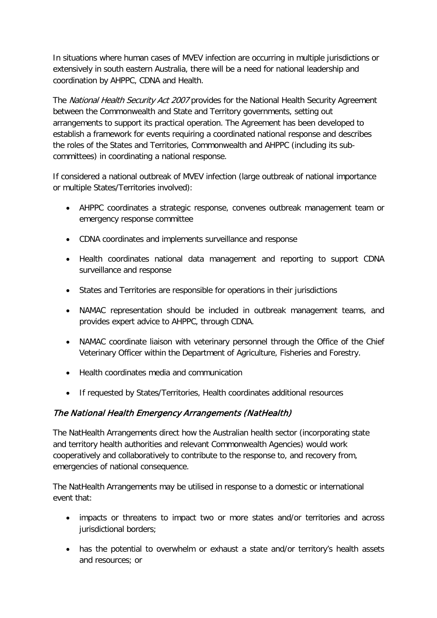In situations where human cases of MVEV infection are occurring in multiple jurisdictions or extensively in south eastern Australia, there will be a need for national leadership and coordination by AHPPC, CDNA and Health.

The National Health Security Act 2007 provides for the National Health Security Agreement between the Commonwealth and State and Territory governments, setting out arrangements to support its practical operation. The Agreement has been developed to establish a framework for events requiring a coordinated national response and describes the roles of the States and Territories, Commonwealth and AHPPC (including its subcommittees) in coordinating a national response.

If considered a national outbreak of MVEV infection (large outbreak of national importance or multiple States/Territories involved):

- AHPPC coordinates a strategic response, convenes outbreak management team or emergency response committee
- CDNA coordinates and implements surveillance and response
- Health coordinates national data management and reporting to support CDNA surveillance and response
- States and Territories are responsible for operations in their jurisdictions
- NAMAC representation should be included in outbreak management teams, and provides expert advice to AHPPC, through CDNA.
- NAMAC coordinate liaison with veterinary personnel through the Office of the Chief Veterinary Officer within the Department of Agriculture, Fisheries and Forestry.
- Health coordinates media and communication
- If requested by States/Territories, Health coordinates additional resources

# The National Health Emergency Arrangements (NatHealth)

The NatHealth Arrangements direct how the Australian health sector (incorporating state and territory health authorities and relevant Commonwealth Agencies) would work cooperatively and collaboratively to contribute to the response to, and recovery from, emergencies of national consequence.

The NatHealth Arrangements may be utilised in response to a domestic or international event that:

- impacts or threatens to impact two or more states and/or territories and across jurisdictional borders;
- has the potential to overwhelm or exhaust a state and/or territory's health assets and resources; or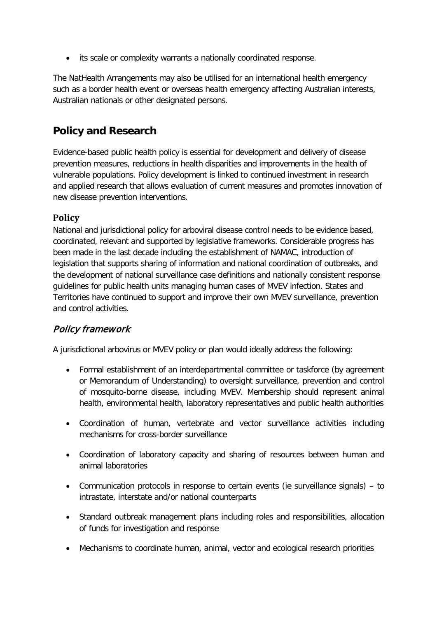• its scale or complexity warrants a nationally coordinated response.

The NatHealth Arrangements may also be utilised for an international health emergency such as a border health event or overseas health emergency affecting Australian interests, Australian nationals or other designated persons.

# <span id="page-31-0"></span>**Policy and Research**

Evidence-based public health policy is essential for development and delivery of disease prevention measures, reductions in health disparities and improvements in the health of vulnerable populations. Policy development is linked to continued investment in research and applied research that allows evaluation of current measures and promotes innovation of new disease prevention interventions.

# <span id="page-31-1"></span>**Policy**

National and jurisdictional policy for arboviral disease control needs to be evidence based, coordinated, relevant and supported by legislative frameworks. Considerable progress has been made in the last decade including the establishment of NAMAC, introduction of legislation that supports sharing of information and national coordination of outbreaks, and the development of national surveillance case definitions and nationally consistent response guidelines for public health units managing human cases of MVEV infection. States and Territories have continued to support and improve their own MVEV surveillance, prevention and control activities.

# Policy framework

A jurisdictional arbovirus or MVEV policy or plan would ideally address the following:

- Formal establishment of an interdepartmental committee or taskforce (by agreement or Memorandum of Understanding) to oversight surveillance, prevention and control of mosquito-borne disease, including MVEV. Membership should represent animal health, environmental health, laboratory representatives and public health authorities
- Coordination of human, vertebrate and vector surveillance activities including mechanisms for cross-border surveillance
- Coordination of laboratory capacity and sharing of resources between human and animal laboratories
- Communication protocols in response to certain events (ie surveillance signals) to intrastate, interstate and/or national counterparts
- Standard outbreak management plans including roles and responsibilities, allocation of funds for investigation and response
- Mechanisms to coordinate human, animal, vector and ecological research priorities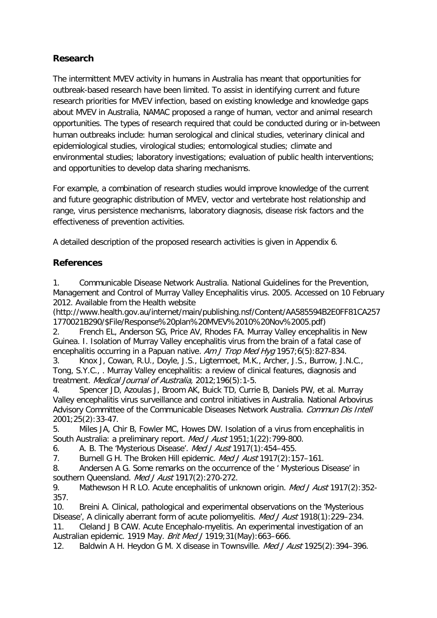# <span id="page-32-0"></span>**Research**

The intermittent MVEV activity in humans in Australia has meant that opportunities for outbreak-based research have been limited. To assist in identifying current and future research priorities for MVEV infection, based on existing knowledge and knowledge gaps about MVEV in Australia, NAMAC proposed a range of human, vector and animal research opportunities. The types of research required that could be conducted during or in-between human outbreaks include: human serological and clinical studies, veterinary clinical and epidemiological studies, virological studies; entomological studies; climate and environmental studies; laboratory investigations; evaluation of public health interventions; and opportunities to develop data sharing mechanisms.

For example, a combination of research studies would improve knowledge of the current and future geographic distribution of MVEV, vector and vertebrate host relationship and range, virus persistence mechanisms, laboratory diagnosis, disease risk factors and the effectiveness of prevention activities.

A detailed description of the proposed research activities is given in Appendix 6.

# <span id="page-32-1"></span>**References**

<span id="page-32-2"></span>1. Communicable Disease Network Australia. National Guidelines for the Prevention, Management and Control of Murray Valley Encephalitis virus. 2005. Accessed on 10 February 2012. Available from the Health website

(http://www.health.gov.au/internet/main/publishing.nsf/Content/AA585594B2E0FF81CA257 1770021B290/\$File/Response%20plan%20MVEV%2010%20Nov%2005.pdf)

<span id="page-32-3"></span>2. French EL, Anderson SG, Price AV, Rhodes FA. Murray Valley encephalitis in New Guinea. I. Isolation of Murray Valley encephalitis virus from the brain of a fatal case of encephalitis occurring in a Papuan native. Am J Trop Med Hyg 1957;6(5):827-834.

<span id="page-32-4"></span>3. Knox J, Cowan, R.U., Doyle, J.S., Ligtermoet, M.K., Archer, J.S., Burrow, J.N.C., Tong, S.Y.C., . Murray Valley encephalitis: a review of clinical features, diagnosis and treatment. Medical Journal of Australia, 2012;196(5):1-5.

<span id="page-32-5"></span>4. Spencer JD, Azoulas J, Broom AK, Buick TD, Currie B, Daniels PW, et al. Murray Valley encephalitis virus surveillance and control initiatives in Australia. National Arbovirus Advisory Committee of the Communicable Diseases Network Australia. Commun Dis Intell 2001;25(2):33-47.

<span id="page-32-6"></span>5. Miles JA, Chir B, Fowler MC, Howes DW. Isolation of a virus from encephalitis in South Australia: a preliminary report. Med J Aust 1951;1(22):799-800.

<span id="page-32-7"></span>6. A. B. The 'Mysterious Disease'. Med J Aust 1917(1):454–455.

<span id="page-32-8"></span>7. Burnell G H. The Broken Hill epidemic. Med J Aust 1917(2): 157-161.

<span id="page-32-9"></span>8. Andersen A G. Some remarks on the occurrence of the ' Mysterious Disease' in southern Queensland. Med J Aust 1917(2):270-272.

<span id="page-32-10"></span>9. Mathewson H R LO. Acute encephalitis of unknown origin. *Med J Aust* 1917(2):352-357.

<span id="page-32-12"></span><span id="page-32-11"></span>10. Breini A. Clinical, pathological and experimental observations on the 'Mysterious Disease', A clinically aberrant form of acute poliomyelitis. *Med J Aust* 1918(1): 229–234. 11. Cleland J B CAW. Acute Encephalo-myelitis. An experimental investigation of an Australian epidemic. 1919 May. Brit Med J 1919;31(May):663–666.

<span id="page-32-13"></span>12. Baldwin A H. Heydon G M. X disease in Townsville. Med J Aust 1925(2): 394–396.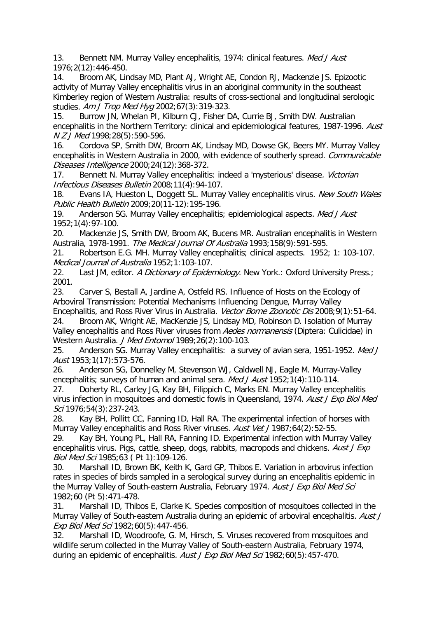<span id="page-33-0"></span>13. Bennett NM. Murray Valley encephalitis, 1974: clinical features. Med J Aust 1976;2(12):446-450.

<span id="page-33-1"></span>14. Broom AK, Lindsay MD, Plant AJ, Wright AE, Condon RJ, Mackenzie JS. Epizootic activity of Murray Valley encephalitis virus in an aboriginal community in the southeast Kimberley region of Western Australia: results of cross-sectional and longitudinal serologic studies. Am J Trop Med Hyg 2002;67(3):319-323.

<span id="page-33-2"></span>15. Burrow JN, Whelan PI, Kilburn CJ, Fisher DA, Currie BJ, Smith DW. Australian encephalitis in the Northern Territory: clinical and epidemiological features, 1987-1996. Aust N Z J Med 1998;28(5):590-596.

<span id="page-33-3"></span>16. Cordova SP, Smith DW, Broom AK, Lindsay MD, Dowse GK, Beers MY. Murray Valley encephalitis in Western Australia in 2000, with evidence of southerly spread. Communicable Diseases Intelligence 2000;24(12):368-372.

<span id="page-33-4"></span>17. Bennett N. Murray Valley encephalitis: indeed a 'mysterious' disease. Victorian Infectious Diseases Bulletin 2008;11(4):94-107.

<span id="page-33-5"></span>18. Evans IA, Hueston L, Doggett SL. Murray Valley encephalitis virus. New South Wales Public Health Bulletin 2009;20(11-12):195-196.

<span id="page-33-6"></span>19. Anderson SG. Murray Valley encephalitis; epidemiological aspects. Med J Aust 1952;1(4):97-100.

<span id="page-33-7"></span>20. Mackenzie JS, Smith DW, Broom AK, Bucens MR. Australian encephalitis in Western Australia, 1978-1991. The Medical Journal Of Australia 1993;158(9):591-595.

<span id="page-33-8"></span>21. Robertson E.G. MH. Murray Valley encephalitis; clinical aspects. 1952; 1: 103-107. Medical Journal of Australia 1952;1:103-107.

<span id="page-33-9"></span>22. Last JM, editor. A Dictionary of Epidemiology. New York.: Oxford University Press.; 2001.

<span id="page-33-10"></span>23. Carver S, Bestall A, Jardine A, Ostfeld RS. Influence of Hosts on the Ecology of Arboviral Transmission: Potential Mechanisms Influencing Dengue, Murray Valley Encephalitis, and Ross River Virus in Australia. Vector Borne Zoonotic Dis 2008;9(1):51-64.

<span id="page-33-11"></span>24. Broom AK, Wright AE, MacKenzie JS, Lindsay MD, Robinson D. Isolation of Murray Valley encephalitis and Ross River viruses from Aedes normanensis (Diptera: Culicidae) in Western Australia. J Med Entomol 1989;26(2):100-103.

<span id="page-33-12"></span>25. Anderson SG. Murray Valley encephalitis: a survey of avian sera, 1951-1952. Med J Aust 1953;1(17):573-576.

<span id="page-33-13"></span>26. Anderson SG, Donnelley M, Stevenson WJ, Caldwell NJ, Eagle M. Murray-Valley encephalitis; surveys of human and animal sera. Med J Aust 1952;1(4):110-114.

<span id="page-33-14"></span>27. Doherty RL, Carley JG, Kay BH, Filippich C, Marks EN. Murray Valley encephalitis virus infection in mosquitoes and domestic fowls in Queensland, 1974. Aust J Exp Biol Med Sci 1976;54(3):237-243.

<span id="page-33-15"></span>28. Kay BH, Pollitt CC, Fanning ID, Hall RA. The experimental infection of horses with Murray Valley encephalitis and Ross River viruses. Aust Vet J1987;64(2):52-55.

<span id="page-33-16"></span>29. Kay BH, Young PL, Hall RA, Fanning ID. Experimental infection with Murray Valley encephalitis virus. Pigs, cattle, sheep, dogs, rabbits, macropods and chickens. Aust J Exp Biol Med Sci 1985;63 ( Pt 1):109-126.

<span id="page-33-17"></span>30. Marshall ID, Brown BK, Keith K, Gard GP, Thibos E. Variation in arbovirus infection rates in species of birds sampled in a serological survey during an encephalitis epidemic in the Murray Valley of South-eastern Australia, February 1974. Aust J Exp Biol Med Sci 1982;60 (Pt 5):471-478.

<span id="page-33-18"></span>31. Marshall ID, Thibos E, Clarke K. Species composition of mosquitoes collected in the Murray Valley of South-eastern Australia during an epidemic of arboviral encephalitis. Aust J Exp Biol Med Sci 1982;60(5):447-456.

<span id="page-33-19"></span>32. Marshall ID, Woodroofe, G. M, Hirsch, S. Viruses recovered from mosquitoes and wildlife serum collected in the Murray Valley of South-eastern Australia, February 1974, during an epidemic of encephalitis. Aust J Exp Biol Med Sci 1982;60(5):457-470.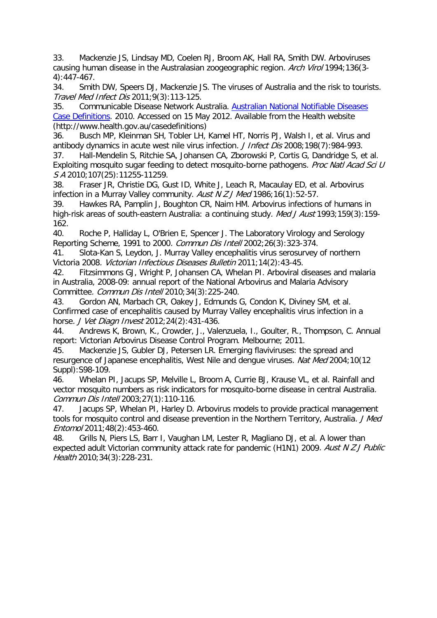<span id="page-34-0"></span>33. Mackenzie JS, Lindsay MD, Coelen RJ, Broom AK, Hall RA, Smith DW. Arboviruses causing human disease in the Australasian zoogeographic region. Arch Virol 1994;136(3-4):447-467.

<span id="page-34-1"></span>34. Smith DW, Speers DJ, Mackenzie JS. The viruses of Australia and the risk to tourists. Travel Med Infect Dis 2011;9(3):113-125.

<span id="page-34-2"></span>35. Communicable Disease Network Australia. [Australian National Notifiable Diseases](http://www.health.gov.au/casedefinitions)  [Case Definitions.](http://www.health.gov.au/casedefinitions) 2010. Accessed on 15 May 2012. Available from the Health website (http://www.health.gov.au/casedefinitions)

<span id="page-34-3"></span>36. Busch MP, Kleinman SH, Tobler LH, Kamel HT, Norris PJ, Walsh I, et al. Virus and antibody dynamics in acute west nile virus infection. J Infect Dis 2008;198(7):984-993.

<span id="page-34-4"></span>37. Hall-Mendelin S, Ritchie SA, Johansen CA, Zborowski P, Cortis G, Dandridge S, et al. Exploiting mosquito sugar feeding to detect mosquito-borne pathogens. Proc Natl Acad Sci U S A 2010;107(25):11255-11259.

<span id="page-34-5"></span>38. Fraser JR, Christie DG, Gust ID, White J, Leach R, Macaulay ED, et al. Arbovirus infection in a Murray Valley community. Aust N  $Z$  J Med 1986;16(1):52-57.

<span id="page-34-6"></span>39. Hawkes RA, Pamplin J, Boughton CR, Naim HM. Arbovirus infections of humans in high-risk areas of south-eastern Australia: a continuing study. Med J Aust 1993;159(3):159-162.

<span id="page-34-7"></span>40. Roche P, Halliday L, O'Brien E, Spencer J. The Laboratory Virology and Serology Reporting Scheme, 1991 to 2000. Commun Dis Intell 2002;26(3):323-374.

<span id="page-34-8"></span>41. Slota-Kan S, Leydon, J. Murray Valley encephalitis virus serosurvey of northern Victoria 2008. Victorian Infectious Diseases Bulletin 2011;14(2):43-45.

<span id="page-34-9"></span>42. Fitzsimmons GJ, Wright P, Johansen CA, Whelan PI. Arboviral diseases and malaria in Australia, 2008-09: annual report of the National Arbovirus and Malaria Advisory Committee. Commun Dis Intell 2010;34(3):225-240.

<span id="page-34-10"></span>43. Gordon AN, Marbach CR, Oakey J, Edmunds G, Condon K, Diviney SM, et al. Confirmed case of encephalitis caused by Murray Valley encephalitis virus infection in a horse. J Vet Diagn Invest 2012;24(2):431-436.

<span id="page-34-11"></span>44. Andrews K, Brown, K., Crowder, J., Valenzuela, I., Goulter, R., Thompson, C. Annual report: Victorian Arbovirus Disease Control Program. Melbourne; 2011.

<span id="page-34-12"></span>45. Mackenzie JS, Gubler DJ, Petersen LR. Emerging flaviviruses: the spread and resurgence of Japanese encephalitis, West Nile and dengue viruses. Nat Med 2004;10(12 Suppl):S98-109.

<span id="page-34-13"></span>46. Whelan PI, Jacups SP, Melville L, Broom A, Currie BJ, Krause VL, et al. Rainfall and vector mosquito numbers as risk indicators for mosquito-borne disease in central Australia. Commun Dis Intell 2003;27(1):110-116.

<span id="page-34-14"></span>47. Jacups SP, Whelan PI, Harley D. Arbovirus models to provide practical management tools for mosquito control and disease prevention in the Northern Territory, Australia. J Med Entomol 2011;48(2):453-460.

<span id="page-34-15"></span>48. Grills N, Piers LS, Barr I, Vaughan LM, Lester R, Magliano DJ, et al. A lower than expected adult Victorian community attack rate for pandemic (H1N1) 2009. Aust N Z J Public Health 2010;34(3):228-231.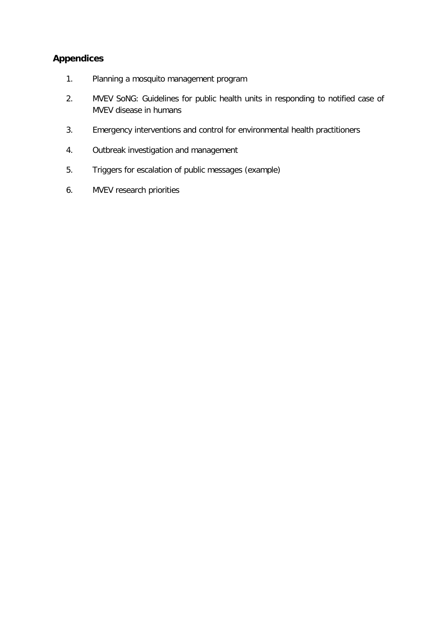# <span id="page-35-0"></span>**Appendices**

- 1. Planning a mosquito management program
- 2. MVEV SoNG: Guidelines for public health units in responding to notified case of MVEV disease in humans
- 3. Emergency interventions and control for environmental health practitioners
- 4. Outbreak investigation and management
- 5. Triggers for escalation of public messages (example)
- <span id="page-35-1"></span>6. MVEV research priorities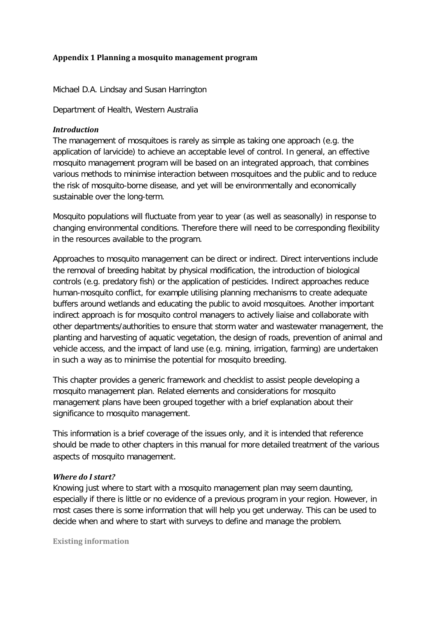#### **Appendix 1 Planning a mosquito management program**

Michael D.A. Lindsay and Susan Harrington

Department of Health, Western Australia

#### *Introduction*

The management of mosquitoes is rarely as simple as taking one approach (e.g. the application of larvicide) to achieve an acceptable level of control. In general, an effective mosquito management program will be based on an integrated approach, that combines various methods to minimise interaction between mosquitoes and the public and to reduce the risk of mosquito-borne disease, and yet will be environmentally and economically sustainable over the long-term.

Mosquito populations will fluctuate from year to year (as well as seasonally) in response to changing environmental conditions. Therefore there will need to be corresponding flexibility in the resources available to the program.

Approaches to mosquito management can be direct or indirect. Direct interventions include the removal of breeding habitat by physical modification, the introduction of biological controls (e.g. predatory fish) or the application of pesticides. Indirect approaches reduce human-mosquito conflict, for example utilising planning mechanisms to create adequate buffers around wetlands and educating the public to avoid mosquitoes. Another important indirect approach is for mosquito control managers to actively liaise and collaborate with other departments/authorities to ensure that storm water and wastewater management, the planting and harvesting of aquatic vegetation, the design of roads, prevention of animal and vehicle access, and the impact of land use (e.g. mining, irrigation, farming) are undertaken in such a way as to minimise the potential for mosquito breeding.

This chapter provides a generic framework and checklist to assist people developing a mosquito management plan. Related elements and considerations for mosquito management plans have been grouped together with a brief explanation about their significance to mosquito management.

This information is a brief coverage of the issues only, and it is intended that reference should be made to other chapters in this manual for more detailed treatment of the various aspects of mosquito management.

#### *Where do I start?*

Knowing just where to start with a mosquito management plan may seem daunting, especially if there is little or no evidence of a previous program in your region. However, in most cases there is some information that will help you get underway. This can be used to decide when and where to start with surveys to define and manage the problem.

**Existing information**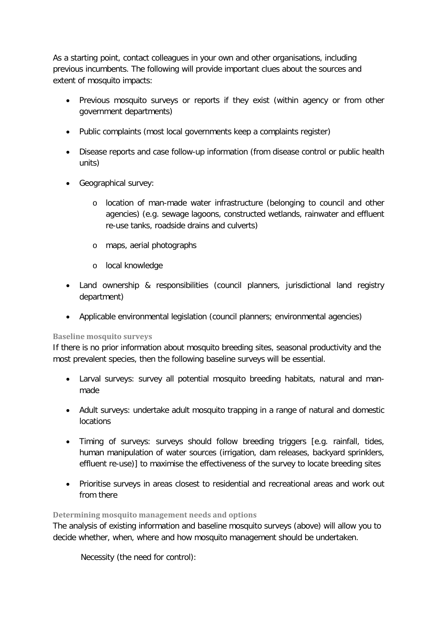As a starting point, contact colleagues in your own and other organisations, including previous incumbents. The following will provide important clues about the sources and extent of mosquito impacts:

- Previous mosquito surveys or reports if they exist (within agency or from other government departments)
- Public complaints (most local governments keep a complaints register)
- Disease reports and case follow-up information (from disease control or public health units)
- Geographical survey:
	- o location of man-made water infrastructure (belonging to council and other agencies) (e.g. sewage lagoons, constructed wetlands, rainwater and effluent re-use tanks, roadside drains and culverts)
	- o maps, aerial photographs
	- o local knowledge
- Land ownership & responsibilities (council planners, jurisdictional land registry department)
- Applicable environmental legislation (council planners; environmental agencies)

#### **Baseline mosquito surveys**

If there is no prior information about mosquito breeding sites, seasonal productivity and the most prevalent species, then the following baseline surveys will be essential.

- Larval surveys: survey all potential mosquito breeding habitats, natural and manmade
- Adult surveys: undertake adult mosquito trapping in a range of natural and domestic locations
- Timing of surveys: surveys should follow breeding triggers [e.g. rainfall, tides, human manipulation of water sources (irrigation, dam releases, backyard sprinklers, effluent re-use)] to maximise the effectiveness of the survey to locate breeding sites
- Prioritise surveys in areas closest to residential and recreational areas and work out from there

#### **Determining mosquito management needs and options**

The analysis of existing information and baseline mosquito surveys (above) will allow you to decide whether, when, where and how mosquito management should be undertaken.

Necessity (the need for control):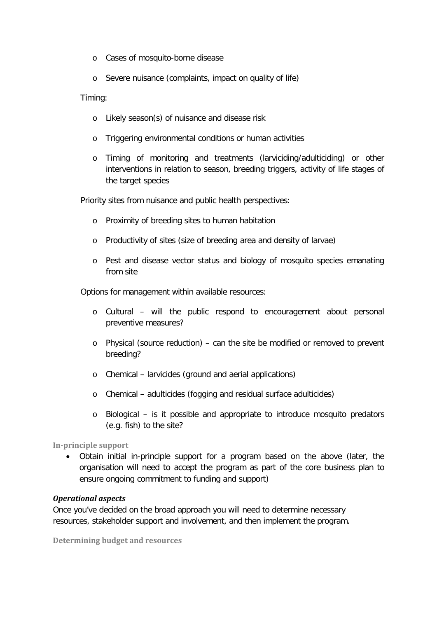- o Cases of mosquito-borne disease
- o Severe nuisance (complaints, impact on quality of life)

#### Timing:

- o Likely season(s) of nuisance and disease risk
- o Triggering environmental conditions or human activities
- o Timing of monitoring and treatments (larviciding/adulticiding) or other interventions in relation to season, breeding triggers, activity of life stages of the target species

Priority sites from nuisance and public health perspectives:

- o Proximity of breeding sites to human habitation
- o Productivity of sites (size of breeding area and density of larvae)
- o Pest and disease vector status and biology of mosquito species emanating from site

Options for management within available resources:

- o Cultural will the public respond to encouragement about personal preventive measures?
- o Physical (source reduction) can the site be modified or removed to prevent breeding?
- o Chemical larvicides (ground and aerial applications)
- o Chemical adulticides (fogging and residual surface adulticides)
- o Biological is it possible and appropriate to introduce mosquito predators (e.g. fish) to the site?

#### **In-principle support**

• Obtain initial in-principle support for a program based on the above (later, the organisation will need to accept the program as part of the core business plan to ensure ongoing commitment to funding and support)

#### *Operational aspects*

Once you've decided on the broad approach you will need to determine necessary resources, stakeholder support and involvement, and then implement the program.

**Determining budget and resources**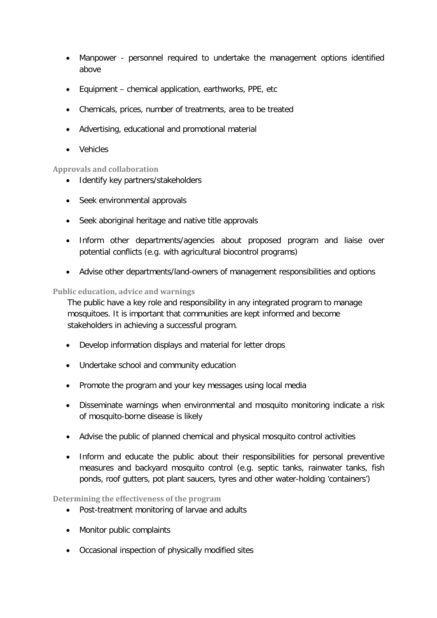- Manpower personnel required to undertake the management options identified above
- Equipment chemical application, earthworks, PPE, etc
- Chemicals, prices, number of treatments, area to be treated
- Advertising, educational and promotional material
- Vehicles

#### **Approvals and collaboration**

- Identify key partners/stakeholders
- Seek environmental approvals
- Seek aboriginal heritage and native title approvals
- Inform other departments/agencies about proposed program and liaise over potential conflicts (e.g. with agricultural biocontrol programs)
- Advise other departments/land-owners of management responsibilities and options

#### **Public education, advice and warnings**

The public have a key role and responsibility in any integrated program to manage mosquitoes. It is important that communities are kept informed and become stakeholders in achieving a successful program.

- Develop information displays and material for letter drops
- Undertake school and community education
- Promote the program and your key messages using local media
- Disseminate warnings when environmental and mosquito monitoring indicate a risk of mosquito-borne disease is likely
- Advise the public of planned chemical and physical mosquito control activities
- Inform and educate the public about their responsibilities for personal preventive measures and backyard mosquito control (e.g. septic tanks, rainwater tanks, fish ponds, roof gutters, pot plant saucers, tyres and other water-holding 'containers')

**Determining the effectiveness of the program**

- Post-treatment monitoring of larvae and adults
- Monitor public complaints
- Occasional inspection of physically modified sites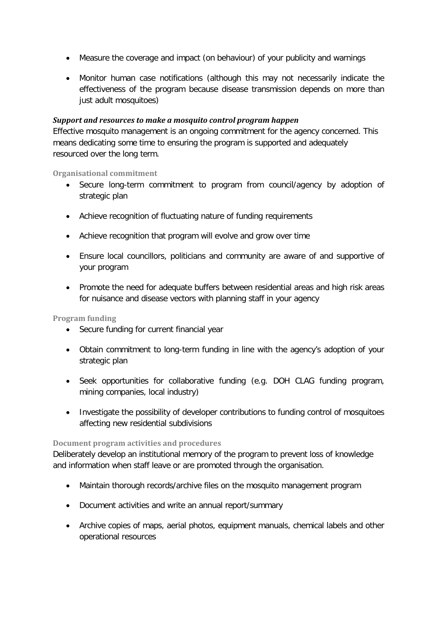- Measure the coverage and impact (on behaviour) of your publicity and warnings
- Monitor human case notifications (although this may not necessarily indicate the effectiveness of the program because disease transmission depends on more than just adult mosquitoes)

#### *Support and resources to make a mosquito control program happen*

Effective mosquito management is an ongoing commitment for the agency concerned. This means dedicating some time to ensuring the program is supported and adequately resourced over the long term.

**Organisational commitment**

- Secure long-term commitment to program from council/agency by adoption of strategic plan
- Achieve recognition of fluctuating nature of funding requirements
- Achieve recognition that program will evolve and grow over time
- Ensure local councillors, politicians and community are aware of and supportive of your program
- Promote the need for adequate buffers between residential areas and high risk areas for nuisance and disease vectors with planning staff in your agency

**Program funding**

- Secure funding for current financial year
- Obtain commitment to long-term funding in line with the agency's adoption of your strategic plan
- Seek opportunities for collaborative funding (e.g. DOH CLAG funding program, mining companies, local industry)
- Investigate the possibility of developer contributions to funding control of mosquitoes affecting new residential subdivisions

## **Document program activities and procedures**

Deliberately develop an institutional memory of the program to prevent loss of knowledge and information when staff leave or are promoted through the organisation.

- Maintain thorough records/archive files on the mosquito management program
- Document activities and write an annual report/summary
- Archive copies of maps, aerial photos, equipment manuals, chemical labels and other operational resources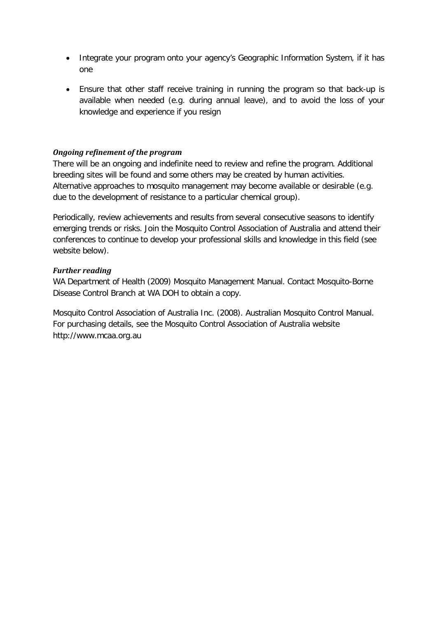- Integrate your program onto your agency's Geographic Information System, if it has one
- Ensure that other staff receive training in running the program so that back-up is available when needed (e.g. during annual leave), and to avoid the loss of your knowledge and experience if you resign

#### *Ongoing refinement of the program*

There will be an ongoing and indefinite need to review and refine the program. Additional breeding sites will be found and some others may be created by human activities. Alternative approaches to mosquito management may become available or desirable (e.g. due to the development of resistance to a particular chemical group).

Periodically, review achievements and results from several consecutive seasons to identify emerging trends or risks. Join the Mosquito Control Association of Australia and attend their conferences to continue to develop your professional skills and knowledge in this field (see website below).

#### *Further reading*

WA Department of Health (2009) Mosquito Management Manual. Contact Mosquito-Borne Disease Control Branch at WA DOH to obtain a copy.

<span id="page-41-0"></span>Mosquito Control Association of Australia Inc. (2008). Australian Mosquito Control Manual. For purchasing details, see the Mosquito Control Association of Australia website http://www.mcaa.org.au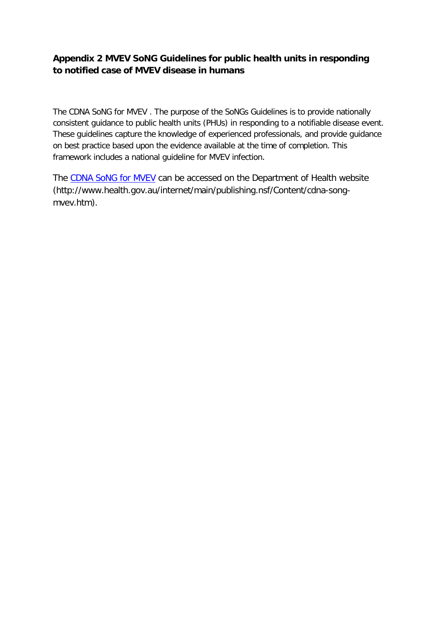# **Appendix 2 MVEV SoNG Guidelines for public health units in responding to notified case of MVEV disease in humans**

The CDNA SoNG for MVEV . The purpose of the SoNGs Guidelines is to provide nationally consistent guidance to public health units (PHUs) in responding to a notifiable disease event. These guidelines capture the knowledge of experienced professionals, and provide guidance on best practice based upon the evidence available at the time of completion. This framework includes a national guideline for MVEV infection.

The [CDNA SoNG for MVEV](http://www.health.gov.au/internet/main/publishing.nsf/Content/cdna-song-mvev.htm) can be accessed on the Department of Health website (http://www.health.gov.au/internet/main/publishing.nsf/Content/cdna-songmvev.htm).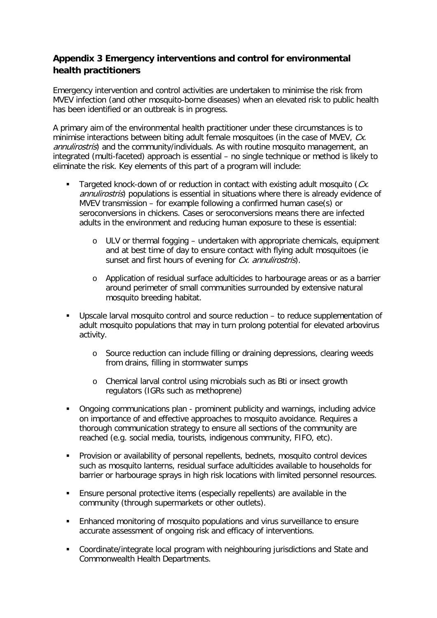# <span id="page-43-0"></span>**Appendix 3 Emergency interventions and control for environmental health practitioners**

Emergency intervention and control activities are undertaken to minimise the risk from MVEV infection (and other mosquito-borne diseases) when an elevated risk to public health has been identified or an outbreak is in progress.

A primary aim of the environmental health practitioner under these circumstances is to minimise interactions between biting adult female mosquitoes (in the case of MVEV, Cx. annulirostris) and the community/individuals. As with routine mosquito management, an integrated (multi-faceted) approach is essential – no single technique or method is likely to eliminate the risk. Key elements of this part of a program will include:

- Targeted knock-down of or reduction in contact with existing adult mosquito  $(Cx)$ . annulirostris) populations is essential in situations where there is already evidence of MVEV transmission – for example following a confirmed human case(s) or seroconversions in chickens. Cases or seroconversions means there are infected adults in the environment and reducing human exposure to these is essential:
	- $\circ$  ULV or thermal fogging undertaken with appropriate chemicals, equipment and at best time of day to ensure contact with flying adult mosquitoes (ie sunset and first hours of evening for Cx. annulirostris).
	- o Application of residual surface adulticides to harbourage areas or as a barrier around perimeter of small communities surrounded by extensive natural mosquito breeding habitat.
- Upscale larval mosquito control and source reduction to reduce supplementation of adult mosquito populations that may in turn prolong potential for elevated arbovirus activity.
	- o Source reduction can include filling or draining depressions, clearing weeds from drains, filling in stormwater sumps
	- o Chemical larval control using microbials such as Bti or insect growth regulators (IGRs such as methoprene)
- Ongoing communications plan prominent publicity and warnings, including advice on importance of and effective approaches to mosquito avoidance. Requires a thorough communication strategy to ensure all sections of the community are reached (e.g. social media, tourists, indigenous community, FIFO, etc).
- Provision or availability of personal repellents, bednets, mosquito control devices such as mosquito lanterns, residual surface adulticides available to households for barrier or harbourage sprays in high risk locations with limited personnel resources.
- Ensure personal protective items (especially repellents) are available in the community (through supermarkets or other outlets).
- Enhanced monitoring of mosquito populations and virus surveillance to ensure accurate assessment of ongoing risk and efficacy of interventions.
- Coordinate/integrate local program with neighbouring jurisdictions and State and Commonwealth Health Departments.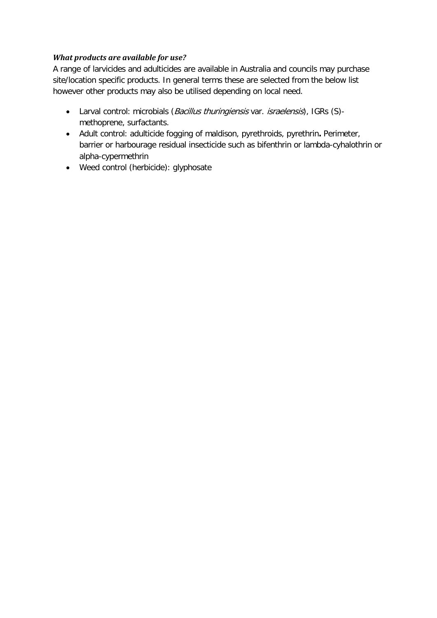## *What products are available for use?*

A range of larvicides and adulticides are available in Australia and councils may purchase site/location specific products. In general terms these are selected from the below list however other products may also be utilised depending on local need.

- Larval control: microbials (Bacillus thuringiensis var. israelensis), IGRs (S)methoprene, surfactants.
- Adult control: adulticide fogging of maldison, pyrethroids, pyrethrin**.** Perimeter, barrier or harbourage residual insecticide such as bifenthrin or lambda-cyhalothrin or alpha-cypermethrin
- Weed control (herbicide): glyphosate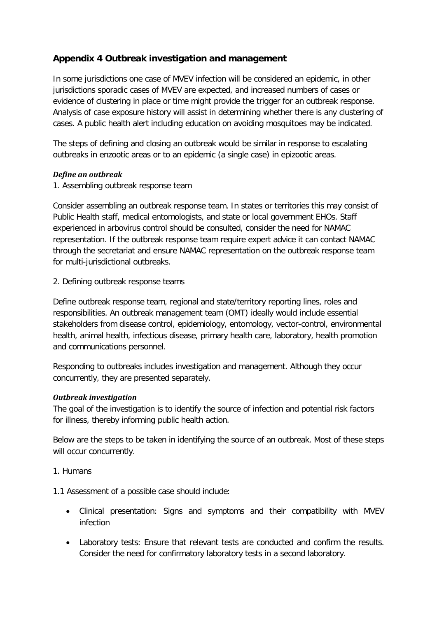# <span id="page-45-0"></span>**Appendix 4 Outbreak investigation and management**

In some jurisdictions one case of MVEV infection will be considered an epidemic, in other jurisdictions sporadic cases of MVEV are expected, and increased numbers of cases or evidence of clustering in place or time might provide the trigger for an outbreak response. Analysis of case exposure history will assist in determining whether there is any clustering of cases. A public health alert including education on avoiding mosquitoes may be indicated.

The steps of defining and closing an outbreak would be similar in response to escalating outbreaks in enzootic areas or to an epidemic (a single case) in epizootic areas.

#### *Define an outbreak*

1. Assembling outbreak response team

Consider assembling an outbreak response team. In states or territories this may consist of Public Health staff, medical entomologists, and state or local government EHOs. Staff experienced in arbovirus control should be consulted, consider the need for NAMAC representation. If the outbreak response team require expert advice it can contact NAMAC through the secretariat and ensure NAMAC representation on the outbreak response team for multi-jurisdictional outbreaks.

2. Defining outbreak response teams

Define outbreak response team, regional and state/territory reporting lines, roles and responsibilities. An outbreak management team (OMT) ideally would include essential stakeholders from disease control, epidemiology, entomology, vector-control, environmental health, animal health, infectious disease, primary health care, laboratory, health promotion and communications personnel.

Responding to outbreaks includes investigation and management. Although they occur concurrently, they are presented separately.

## *Outbreak investigation*

The goal of the investigation is to identify the source of infection and potential risk factors for illness, thereby informing public health action.

Below are the steps to be taken in identifying the source of an outbreak. Most of these steps will occur concurrently.

## 1. Humans

1.1 Assessment of a possible case should include:

- Clinical presentation: Signs and symptoms and their compatibility with MVEV infection
- Laboratory tests: Ensure that relevant tests are conducted and confirm the results. Consider the need for confirmatory laboratory tests in a second laboratory.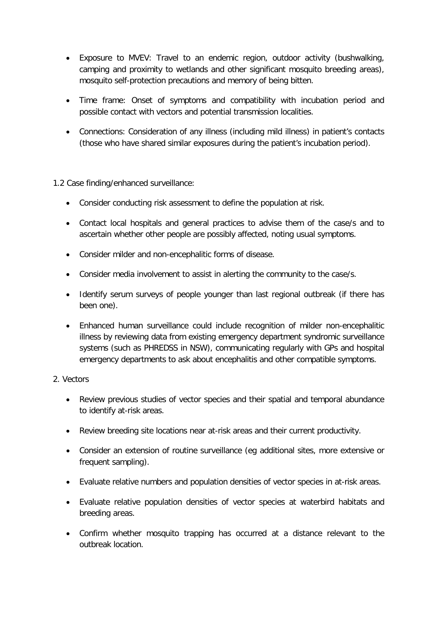- Exposure to MVEV: Travel to an endemic region, outdoor activity (bushwalking, camping and proximity to wetlands and other significant mosquito breeding areas), mosquito self-protection precautions and memory of being bitten.
- Time frame: Onset of symptoms and compatibility with incubation period and possible contact with vectors and potential transmission localities.
- Connections: Consideration of any illness (including mild illness) in patient's contacts (those who have shared similar exposures during the patient's incubation period).

1.2 Case finding/enhanced surveillance:

- Consider conducting risk assessment to define the population at risk.
- Contact local hospitals and general practices to advise them of the case/s and to ascertain whether other people are possibly affected, noting usual symptoms.
- Consider milder and non-encephalitic forms of disease.
- Consider media involvement to assist in alerting the community to the case/s.
- Identify serum surveys of people younger than last regional outbreak (if there has been one).
- Enhanced human surveillance could include recognition of milder non-encephalitic illness by reviewing data from existing emergency department syndromic surveillance systems (such as PHREDSS in NSW), communicating regularly with GPs and hospital emergency departments to ask about encephalitis and other compatible symptoms.

#### 2. Vectors

- Review previous studies of vector species and their spatial and temporal abundance to identify at-risk areas.
- Review breeding site locations near at-risk areas and their current productivity.
- Consider an extension of routine surveillance (eg additional sites, more extensive or frequent sampling).
- Evaluate relative numbers and population densities of vector species in at-risk areas.
- Evaluate relative population densities of vector species at waterbird habitats and breeding areas.
- Confirm whether mosquito trapping has occurred at a distance relevant to the outbreak location.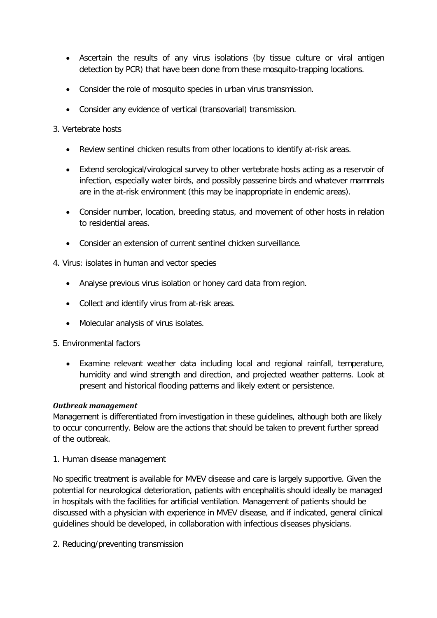- Ascertain the results of any virus isolations (by tissue culture or viral antigen detection by PCR) that have been done from these mosquito-trapping locations.
- Consider the role of mosquito species in urban virus transmission.
- Consider any evidence of vertical (transovarial) transmission.

## 3. Vertebrate hosts

- Review sentinel chicken results from other locations to identify at-risk areas.
- Extend serological/virological survey to other vertebrate hosts acting as a reservoir of infection, especially water birds, and possibly passerine birds and whatever mammals are in the at-risk environment (this may be inappropriate in endemic areas).
- Consider number, location, breeding status, and movement of other hosts in relation to residential areas.
- Consider an extension of current sentinel chicken surveillance.
- 4. Virus: isolates in human and vector species
	- Analyse previous virus isolation or honey card data from region.
	- Collect and identify virus from at-risk areas.
	- Molecular analysis of virus isolates.

#### 5. Environmental factors

• Examine relevant weather data including local and regional rainfall, temperature, humidity and wind strength and direction, and projected weather patterns. Look at present and historical flooding patterns and likely extent or persistence.

#### *Outbreak management*

Management is differentiated from investigation in these guidelines, although both are likely to occur concurrently. Below are the actions that should be taken to prevent further spread of the outbreak.

1. Human disease management

No specific treatment is available for MVEV disease and care is largely supportive. Given the potential for neurological deterioration, patients with encephalitis should ideally be managed in hospitals with the facilities for artificial ventilation. Management of patients should be discussed with a physician with experience in MVEV disease, and if indicated, general clinical guidelines should be developed, in collaboration with infectious diseases physicians.

2. Reducing/preventing transmission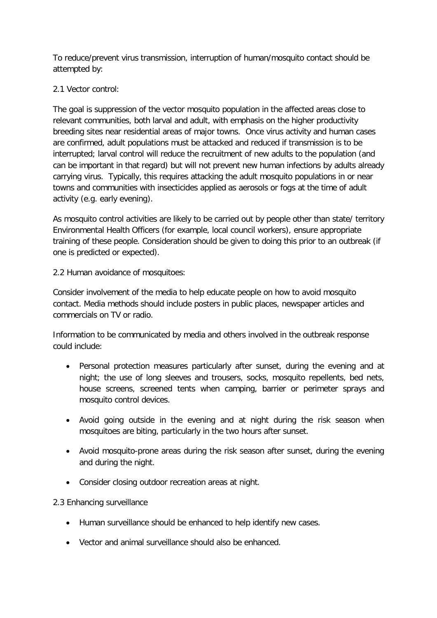To reduce/prevent virus transmission, interruption of human/mosquito contact should be attempted by:

# 2.1 Vector control:

The goal is suppression of the vector mosquito population in the affected areas close to relevant communities, both larval and adult, with emphasis on the higher productivity breeding sites near residential areas of major towns. Once virus activity and human cases are confirmed, adult populations must be attacked and reduced if transmission is to be interrupted; larval control will reduce the recruitment of new adults to the population (and can be important in that regard) but will not prevent new human infections by adults already carrying virus. Typically, this requires attacking the adult mosquito populations in or near towns and communities with insecticides applied as aerosols or fogs at the time of adult activity (e.g. early evening).

As mosquito control activities are likely to be carried out by people other than state/ territory Environmental Health Officers (for example, local council workers), ensure appropriate training of these people. Consideration should be given to doing this prior to an outbreak (if one is predicted or expected).

2.2 Human avoidance of mosquitoes:

Consider involvement of the media to help educate people on how to avoid mosquito contact. Media methods should include posters in public places, newspaper articles and commercials on TV or radio.

Information to be communicated by media and others involved in the outbreak response could include:

- Personal protection measures particularly after sunset, during the evening and at night; the use of long sleeves and trousers, socks, mosquito repellents, bed nets, house screens, screened tents when camping, barrier or perimeter sprays and mosquito control devices.
- Avoid going outside in the evening and at night during the risk season when mosquitoes are biting, particularly in the two hours after sunset.
- Avoid mosquito-prone areas during the risk season after sunset, during the evening and during the night.
- Consider closing outdoor recreation areas at night.

2.3 Enhancing surveillance

- Human surveillance should be enhanced to help identify new cases.
- Vector and animal surveillance should also be enhanced.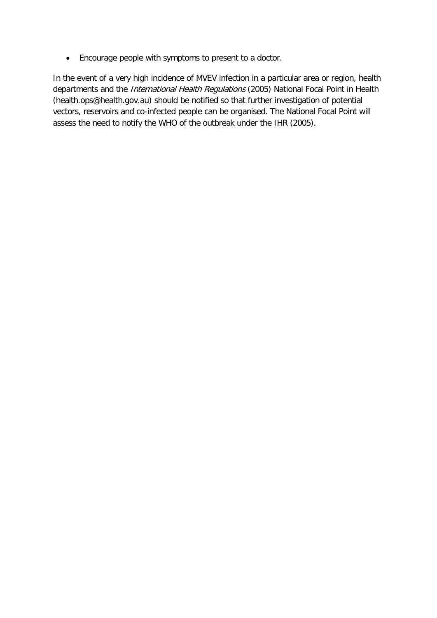• Encourage people with symptoms to present to a doctor.

In the event of a very high incidence of MVEV infection in a particular area or region, health departments and the *International Health Regulations* (2005) National Focal Point in Health (health.ops@health.gov.au) should be notified so that further investigation of potential vectors, reservoirs and co-infected people can be organised. The National Focal Point will assess the need to notify the WHO of the outbreak under the IHR (2005).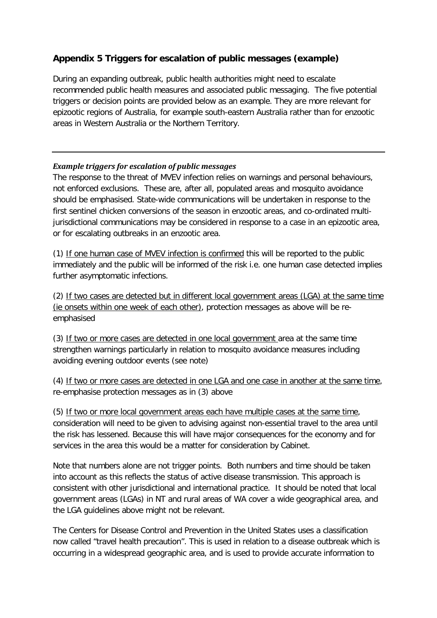# <span id="page-50-0"></span>**Appendix 5 Triggers for escalation of public messages (example)**

During an expanding outbreak, public health authorities might need to escalate recommended public health measures and associated public messaging. The five potential triggers or decision points are provided below as an example. They are more relevant for epizootic regions of Australia, for example south-eastern Australia rather than for enzootic areas in Western Australia or the Northern Territory.

# *Example triggers for escalation of public messages*

The response to the threat of MVEV infection relies on warnings and personal behaviours, not enforced exclusions. These are, after all, populated areas and mosquito avoidance should be emphasised. State-wide communications will be undertaken in response to the first sentinel chicken conversions of the season in enzootic areas, and co-ordinated multijurisdictional communications may be considered in response to a case in an epizootic area, or for escalating outbreaks in an enzootic area.

(1) If one human case of MVEV infection is confirmed this will be reported to the public immediately and the public will be informed of the risk i.e. one human case detected implies further asymptomatic infections.

(2) If two cases are detected but in different local government areas (LGA) at the same time (ie onsets within one week of each other), protection messages as above will be reemphasised

(3) If two or more cases are detected in one local government area at the same time strengthen warnings particularly in relation to mosquito avoidance measures including avoiding evening outdoor events (see note)

(4) If two or more cases are detected in one LGA and one case in another at the same time, re-emphasise protection messages as in (3) above

(5) If two or more local government areas each have multiple cases at the same time, consideration will need to be given to advising against non-essential travel to the area until the risk has lessened. Because this will have major consequences for the economy and for services in the area this would be a matter for consideration by Cabinet.

Note that numbers alone are not trigger points. Both numbers and time should be taken into account as this reflects the status of active disease transmission. This approach is consistent with other jurisdictional and international practice. It should be noted that local government areas (LGAs) in NT and rural areas of WA cover a wide geographical area, and the LGA guidelines above might not be relevant.

The Centers for Disease Control and Prevention in the United States uses a classification now called "travel health precaution". This is used in relation to a disease outbreak which is occurring in a widespread geographic area, and is used to provide accurate information to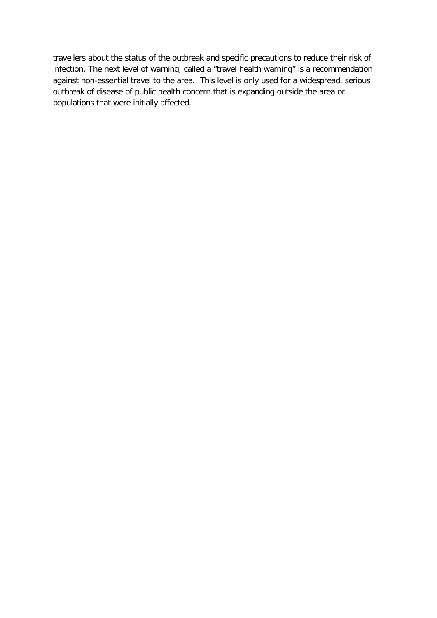travellers about the status of the outbreak and specific precautions to reduce their risk of infection. The next level of warning, called a "travel health warning" is a recommendation against non-essential travel to the area. This level is only used for a widespread, serious outbreak of disease of public health concern that is expanding outside the area or populations that were initially affected.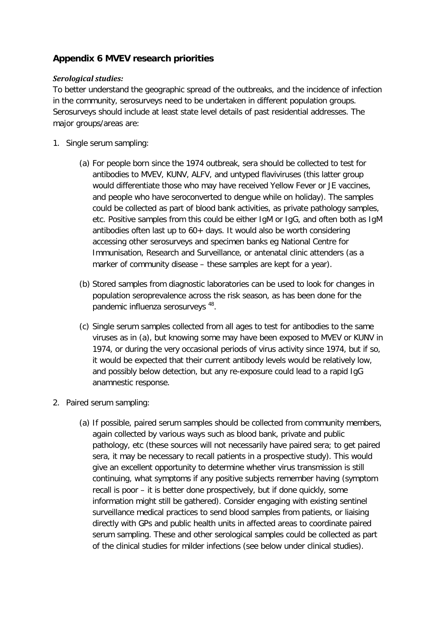# <span id="page-52-0"></span>**Appendix 6 MVEV research priorities**

#### *Serological studies:*

To better understand the geographic spread of the outbreaks, and the incidence of infection in the community, serosurveys need to be undertaken in different population groups. Serosurveys should include at least state level details of past residential addresses. The major groups/areas are:

- 1. Single serum sampling:
	- (a) For people born since the 1974 outbreak, sera should be collected to test for antibodies to MVEV, KUNV, ALFV, and untyped flaviviruses (this latter group would differentiate those who may have received Yellow Fever or JE vaccines, and people who have seroconverted to dengue while on holiday). The samples could be collected as part of blood bank activities, as private pathology samples, etc. Positive samples from this could be either IgM or IgG, and often both as IgM antibodies often last up to 60+ days. It would also be worth considering accessing other serosurveys and specimen banks eg National Centre for Immunisation, Research and Surveillance, or antenatal clinic attenders (as a marker of community disease – these samples are kept for a year).
	- (b) Stored samples from diagnostic laboratories can be used to look for changes in population seroprevalence across the risk season, as has been done for the pandemic influenza serosurveys [48.](#page-34-15)
	- (c) Single serum samples collected from all ages to test for antibodies to the same viruses as in (a), but knowing some may have been exposed to MVEV or KUNV in 1974, or during the very occasional periods of virus activity since 1974, but if so, it would be expected that their current antibody levels would be relatively low, and possibly below detection, but any re-exposure could lead to a rapid IgG anamnestic response.
- 2. Paired serum sampling:
	- (a) If possible, paired serum samples should be collected from community members, again collected by various ways such as blood bank, private and public pathology, etc (these sources will not necessarily have paired sera; to get paired sera, it may be necessary to recall patients in a prospective study). This would give an excellent opportunity to determine whether virus transmission is still continuing, what symptoms if any positive subjects remember having (symptom recall is poor – it is better done prospectively, but if done quickly, some information might still be gathered). Consider engaging with existing sentinel surveillance medical practices to send blood samples from patients, or liaising directly with GPs and public health units in affected areas to coordinate paired serum sampling. These and other serological samples could be collected as part of the clinical studies for milder infections (see below under clinical studies).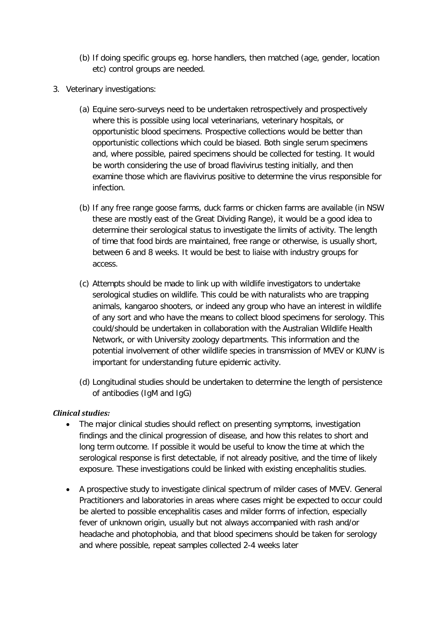- (b) If doing specific groups eg. horse handlers, then matched (age, gender, location etc) control groups are needed.
- 3. Veterinary investigations:
	- (a) Equine sero-surveys need to be undertaken retrospectively and prospectively where this is possible using local veterinarians, veterinary hospitals, or opportunistic blood specimens. Prospective collections would be better than opportunistic collections which could be biased. Both single serum specimens and, where possible, paired specimens should be collected for testing. It would be worth considering the use of broad flavivirus testing initially, and then examine those which are flavivirus positive to determine the virus responsible for infection.
	- (b) If any free range goose farms, duck farms or chicken farms are available (in NSW these are mostly east of the Great Dividing Range), it would be a good idea to determine their serological status to investigate the limits of activity. The length of time that food birds are maintained, free range or otherwise, is usually short, between 6 and 8 weeks. It would be best to liaise with industry groups for access.
	- (c) Attempts should be made to link up with wildlife investigators to undertake serological studies on wildlife. This could be with naturalists who are trapping animals, kangaroo shooters, or indeed any group who have an interest in wildlife of any sort and who have the means to collect blood specimens for serology. This could/should be undertaken in collaboration with the Australian Wildlife Health Network, or with University zoology departments. This information and the potential involvement of other wildlife species in transmission of MVEV or KUNV is important for understanding future epidemic activity.
	- (d) Longitudinal studies should be undertaken to determine the length of persistence of antibodies (IgM and IgG)

## *Clinical studies:*

- The major clinical studies should reflect on presenting symptoms, investigation findings and the clinical progression of disease, and how this relates to short and long term outcome. If possible it would be useful to know the time at which the serological response is first detectable, if not already positive, and the time of likely exposure. These investigations could be linked with existing encephalitis studies.
- A prospective study to investigate clinical spectrum of milder cases of MVEV. General Practitioners and laboratories in areas where cases might be expected to occur could be alerted to possible encephalitis cases and milder forms of infection, especially fever of unknown origin, usually but not always accompanied with rash and/or headache and photophobia, and that blood specimens should be taken for serology and where possible, repeat samples collected 2-4 weeks later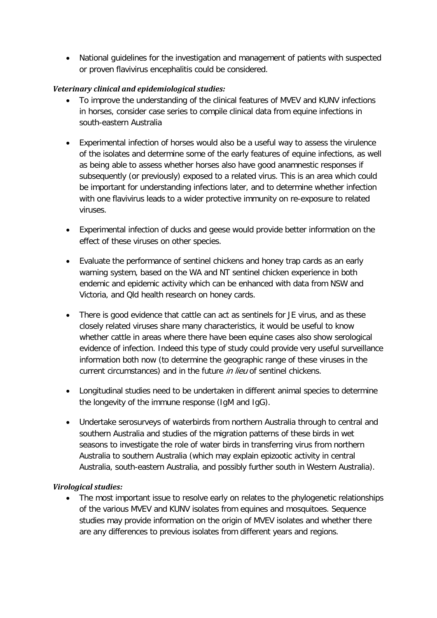• National guidelines for the investigation and management of patients with suspected or proven flavivirus encephalitis could be considered.

## *Veterinary clinical and epidemiological studies:*

- To improve the understanding of the clinical features of MVEV and KUNV infections in horses, consider case series to compile clinical data from equine infections in south-eastern Australia
- Experimental infection of horses would also be a useful way to assess the virulence of the isolates and determine some of the early features of equine infections, as well as being able to assess whether horses also have good anamnestic responses if subsequently (or previously) exposed to a related virus. This is an area which could be important for understanding infections later, and to determine whether infection with one flavivirus leads to a wider protective immunity on re-exposure to related viruses.
- Experimental infection of ducks and geese would provide better information on the effect of these viruses on other species.
- Evaluate the performance of sentinel chickens and honey trap cards as an early warning system, based on the WA and NT sentinel chicken experience in both endemic and epidemic activity which can be enhanced with data from NSW and Victoria, and Qld health research on honey cards.
- There is good evidence that cattle can act as sentinels for JE virus, and as these closely related viruses share many characteristics, it would be useful to know whether cattle in areas where there have been equine cases also show serological evidence of infection. Indeed this type of study could provide very useful surveillance information both now (to determine the geographic range of these viruses in the current circumstances) and in the future *in lieu* of sentinel chickens.
- Longitudinal studies need to be undertaken in different animal species to determine the longevity of the immune response (IgM and IgG).
- Undertake serosurveys of waterbirds from northern Australia through to central and southern Australia and studies of the migration patterns of these birds in wet seasons to investigate the role of water birds in transferring virus from northern Australia to southern Australia (which may explain epizootic activity in central Australia, south-eastern Australia, and possibly further south in Western Australia).

## *Virological studies:*

• The most important issue to resolve early on relates to the phylogenetic relationships of the various MVEV and KUNV isolates from equines and mosquitoes. Sequence studies may provide information on the origin of MVEV isolates and whether there are any differences to previous isolates from different years and regions.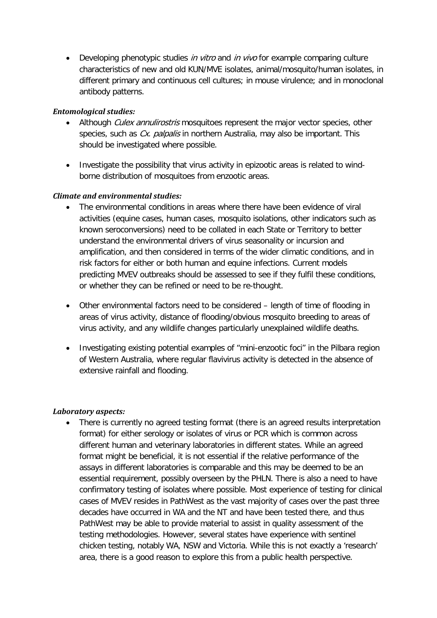• Developing phenotypic studies in vitro and in vivo for example comparing culture characteristics of new and old KUN/MVE isolates, animal/mosquito/human isolates, in different primary and continuous cell cultures; in mouse virulence; and in monoclonal antibody patterns.

#### *Entomological studies:*

- Although *Culex annulirostris* mosquitoes represent the major vector species, other species, such as Cx. palpalis in northern Australia, may also be important. This should be investigated where possible.
- Investigate the possibility that virus activity in epizootic areas is related to windborne distribution of mosquitoes from enzootic areas.

#### *Climate and environmental studies:*

- The environmental conditions in areas where there have been evidence of viral activities (equine cases, human cases, mosquito isolations, other indicators such as known seroconversions) need to be collated in each State or Territory to better understand the environmental drivers of virus seasonality or incursion and amplification, and then considered in terms of the wider climatic conditions, and in risk factors for either or both human and equine infections. Current models predicting MVEV outbreaks should be assessed to see if they fulfil these conditions, or whether they can be refined or need to be re-thought.
- Other environmental factors need to be considered length of time of flooding in areas of virus activity, distance of flooding/obvious mosquito breeding to areas of virus activity, and any wildlife changes particularly unexplained wildlife deaths.
- Investigating existing potential examples of "mini-enzootic foci" in the Pilbara region of Western Australia, where regular flavivirus activity is detected in the absence of extensive rainfall and flooding.

#### *Laboratory aspects:*

• There is currently no agreed testing format (there is an agreed results interpretation format) for either serology or isolates of virus or PCR which is common across different human and veterinary laboratories in different states. While an agreed format might be beneficial, it is not essential if the relative performance of the assays in different laboratories is comparable and this may be deemed to be an essential requirement, possibly overseen by the PHLN. There is also a need to have confirmatory testing of isolates where possible. Most experience of testing for clinical cases of MVEV resides in PathWest as the vast majority of cases over the past three decades have occurred in WA and the NT and have been tested there, and thus PathWest may be able to provide material to assist in quality assessment of the testing methodologies. However, several states have experience with sentinel chicken testing, notably WA, NSW and Victoria. While this is not exactly a 'research' area, there is a good reason to explore this from a public health perspective.